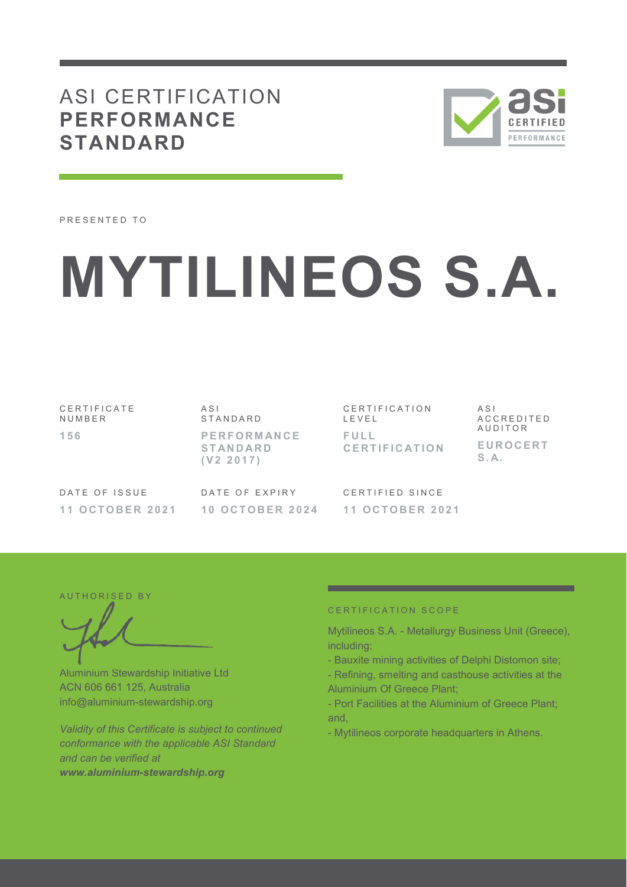# ASI CERTIFICATION **PERFORMANCE STANDARD**



PRESENTED TO

# **MYTILINEOS S.A.**

C E R T I F I C A T E **NUMBER 1 5 6** 

A S I S T A N D A R D **P E R F O R M AN C E S T AN D AR D ( V 2 2 0 1 7 )** 

C E R T I F I C A T I O N L E V E L **F U L L C E R T I F I C AT I O N**  A S I A C C R E D I T E D **AUDITOR E U R O C E R T**   $S \Delta$ 

DATE OF ISSUE **1 1 O C T O B E R 2 0 2 1**  DATE OF EXPIRY **1 0 O C T O B E R 2 0 2 4**  CERTIFIED SINCE **1 1 O C T O B E R 2 0 2 1** 

AUTHORISED BY

Aluminium Stewardship Initiative Ltd ACN 606 661 125, Australia info@aluminium-stewardship.org

*Validity of this Certificate is subject to continued conformance with the applicable ASI Standard and can be verified at www.aluminium-stewardship.org*

#### CERTIFICATION SCOPE

Mytilineos S.A. - Metallurgy Business Unit (Greece), including:

- Bauxite mining activities of Delphi Distomon site;
- Refining, smelting and casthouse activities at the Aluminium Of Greece Plant;
- Port Facilities at the Aluminium of Greece Plant; and,
- Mytilineos corporate headquarters in Athens.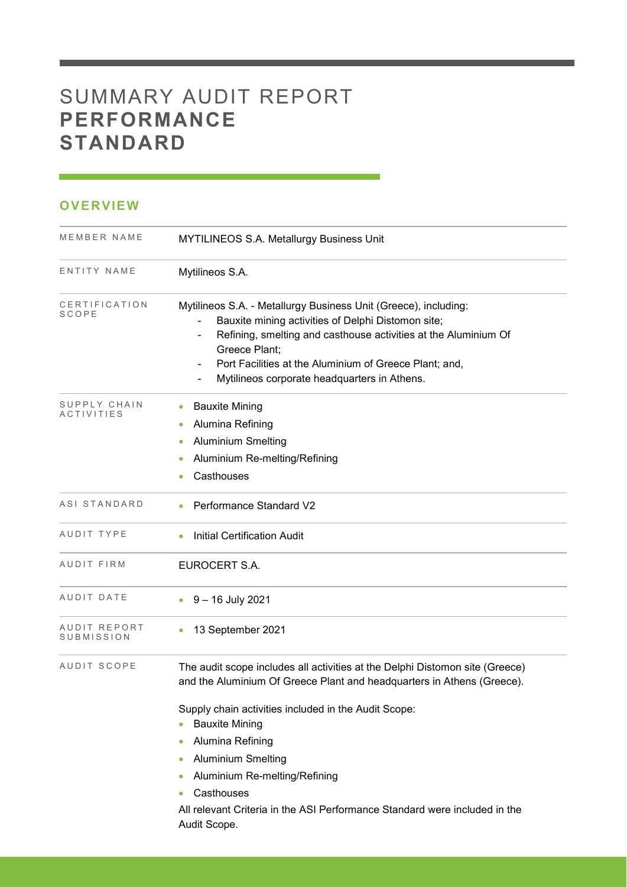# SUMMARY AUDIT REPORT **PERFORMANCE STANDARD**

## **OVERVIEW**

| MEMBER NAME                | <b>MYTILINEOS S.A. Metallurgy Business Unit</b>                                                                                                                                                                                                                                                                                |
|----------------------------|--------------------------------------------------------------------------------------------------------------------------------------------------------------------------------------------------------------------------------------------------------------------------------------------------------------------------------|
| ENTITY NAME                | Mytilineos S.A.                                                                                                                                                                                                                                                                                                                |
| CERTIFICATION<br>SCOPE     | Mytilineos S.A. - Metallurgy Business Unit (Greece), including:<br>Bauxite mining activities of Delphi Distomon site;<br>Refining, smelting and casthouse activities at the Aluminium Of<br>-<br>Greece Plant;<br>Port Facilities at the Aluminium of Greece Plant; and,<br>Mytilineos corporate headquarters in Athens.       |
| SUPPLY CHAIN<br>ACTIVITIES | <b>Bauxite Mining</b><br>Alumina Refining<br><b>Aluminium Smelting</b><br>Aluminium Re-melting/Refining<br>Casthouses                                                                                                                                                                                                          |
| ASI STANDARD               | Performance Standard V2                                                                                                                                                                                                                                                                                                        |
| AUDIT TYPE                 | <b>Initial Certification Audit</b>                                                                                                                                                                                                                                                                                             |
| AUDIT FIRM                 | EUROCERT S.A.                                                                                                                                                                                                                                                                                                                  |
| AUDIT DATE                 | 9 – 16 July 2021                                                                                                                                                                                                                                                                                                               |
| AUDIT REPORT<br>SUBMISSION | 13 September 2021                                                                                                                                                                                                                                                                                                              |
| AUDIT SCOPE                | The audit scope includes all activities at the Delphi Distomon site (Greece)<br>and the Aluminium Of Greece Plant and headquarters in Athens (Greece).<br>Supply chain activities included in the Audit Scope:<br><b>Bauxite Mining</b><br>Alumina Refining<br>۰<br><b>Aluminium Smelting</b><br>Aluminium Re-melting/Refining |
|                            | Casthouses<br>All relevant Criteria in the ASI Performance Standard were included in the<br>Audit Scope.                                                                                                                                                                                                                       |

and the state of the state of the state of the state of the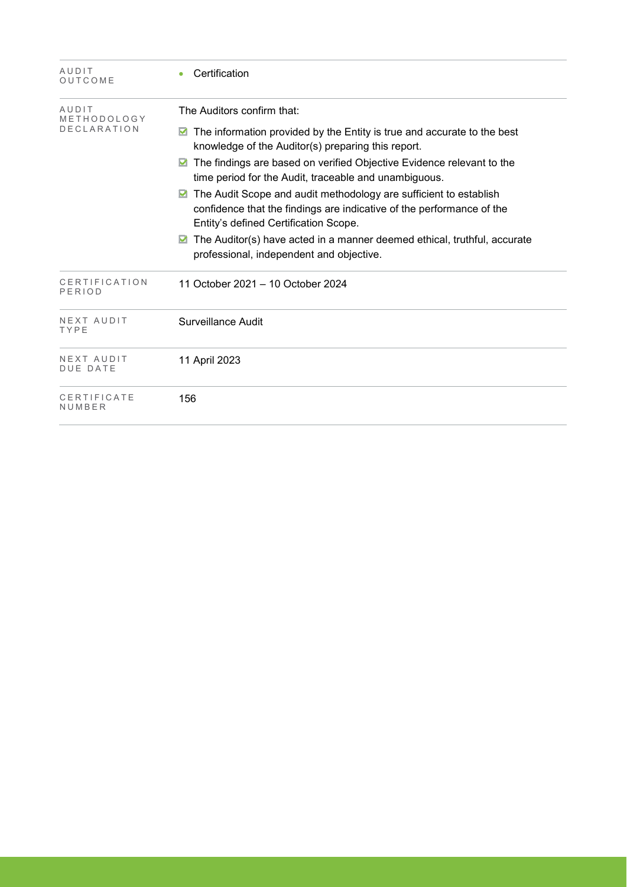| AUDIT<br>OUTCOME                  | Certification                                                                                                                                                                       |
|-----------------------------------|-------------------------------------------------------------------------------------------------------------------------------------------------------------------------------------|
| AUDIT                             | The Auditors confirm that:                                                                                                                                                          |
| METHODOLOGY<br><b>DECLARATION</b> | The information provided by the Entity is true and accurate to the best<br>☑<br>knowledge of the Auditor(s) preparing this report.                                                  |
|                                   | The findings are based on verified Objective Evidence relevant to the<br>M<br>time period for the Audit, traceable and unambiguous.                                                 |
|                                   | The Audit Scope and audit methodology are sufficient to establish<br>confidence that the findings are indicative of the performance of the<br>Entity's defined Certification Scope. |
|                                   | The Auditor(s) have acted in a manner deemed ethical, truthful, accurate<br>professional, independent and objective.                                                                |
| CERTIFICATION<br>PERIOD           | 11 October 2021 - 10 October 2024                                                                                                                                                   |
| NEXT AUDIT<br>TYPE                | Surveillance Audit                                                                                                                                                                  |
| NEXT AUDIT<br><b>DUE DATE</b>     | 11 April 2023                                                                                                                                                                       |
| CERTIFICATE<br>NUMBER             | 156                                                                                                                                                                                 |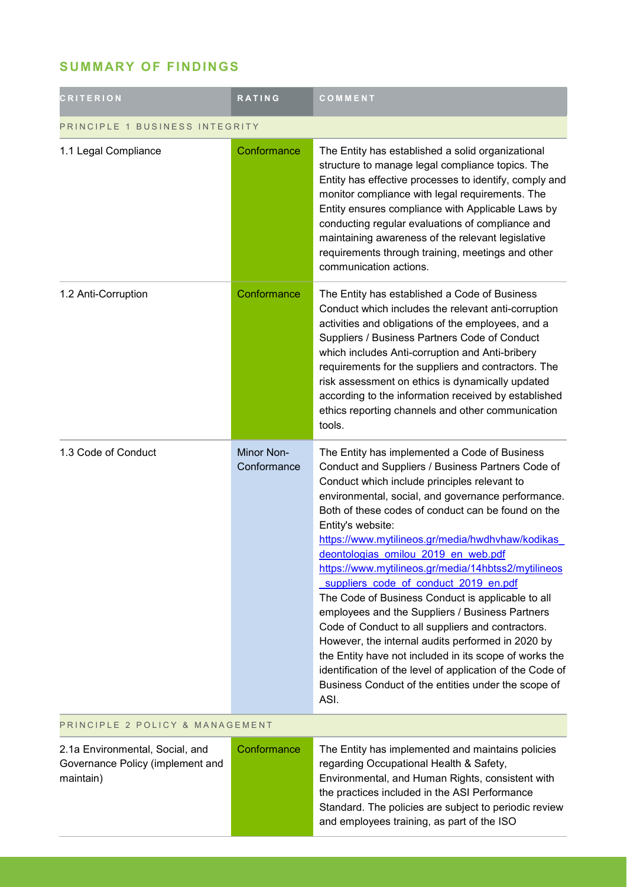# **SUMMARY OF FINDINGS**

| <b>CRITERION</b>                                                                 | <b>RATING</b>             | COMMENT                                                                                                                                                                                                                                                                                                                                                                                                                                                                                                                                                                                                                                                                                                                                                                                                                                                                                |  |
|----------------------------------------------------------------------------------|---------------------------|----------------------------------------------------------------------------------------------------------------------------------------------------------------------------------------------------------------------------------------------------------------------------------------------------------------------------------------------------------------------------------------------------------------------------------------------------------------------------------------------------------------------------------------------------------------------------------------------------------------------------------------------------------------------------------------------------------------------------------------------------------------------------------------------------------------------------------------------------------------------------------------|--|
| PRINCIPLE 1 BUSINESS INTEGRITY                                                   |                           |                                                                                                                                                                                                                                                                                                                                                                                                                                                                                                                                                                                                                                                                                                                                                                                                                                                                                        |  |
| 1.1 Legal Compliance                                                             | Conformance               | The Entity has established a solid organizational<br>structure to manage legal compliance topics. The<br>Entity has effective processes to identify, comply and<br>monitor compliance with legal requirements. The<br>Entity ensures compliance with Applicable Laws by<br>conducting regular evaluations of compliance and<br>maintaining awareness of the relevant legislative<br>requirements through training, meetings and other<br>communication actions.                                                                                                                                                                                                                                                                                                                                                                                                                        |  |
| 1.2 Anti-Corruption                                                              | Conformance               | The Entity has established a Code of Business<br>Conduct which includes the relevant anti-corruption<br>activities and obligations of the employees, and a<br>Suppliers / Business Partners Code of Conduct<br>which includes Anti-corruption and Anti-bribery<br>requirements for the suppliers and contractors. The<br>risk assessment on ethics is dynamically updated<br>according to the information received by established<br>ethics reporting channels and other communication<br>tools.                                                                                                                                                                                                                                                                                                                                                                                       |  |
| 1.3 Code of Conduct                                                              | Minor Non-<br>Conformance | The Entity has implemented a Code of Business<br>Conduct and Suppliers / Business Partners Code of<br>Conduct which include principles relevant to<br>environmental, social, and governance performance.<br>Both of these codes of conduct can be found on the<br>Entity's website:<br>https://www.mytilineos.gr/media/hwdhvhaw/kodikas<br>deontologias omilou 2019 en web.pdf<br>https://www.mytilineos.gr/media/14hbtss2/mytilineos<br>suppliers code of conduct 2019 en.pdf<br>The Code of Business Conduct is applicable to all<br>employees and the Suppliers / Business Partners<br>Code of Conduct to all suppliers and contractors.<br>However, the internal audits performed in 2020 by<br>the Entity have not included in its scope of works the<br>identification of the level of application of the Code of<br>Business Conduct of the entities under the scope of<br>ASI. |  |
| PRINCIPLE 2 POLICY & MANAGEMENT                                                  |                           |                                                                                                                                                                                                                                                                                                                                                                                                                                                                                                                                                                                                                                                                                                                                                                                                                                                                                        |  |
| 2.1a Environmental, Social, and<br>Governance Policy (implement and<br>maintain) | Conformance               | The Entity has implemented and maintains policies<br>regarding Occupational Health & Safety,<br>Environmental, and Human Rights, consistent with<br>the practices included in the ASI Performance<br>Standard. The policies are subject to periodic review<br>and employees training, as part of the ISO                                                                                                                                                                                                                                                                                                                                                                                                                                                                                                                                                                               |  |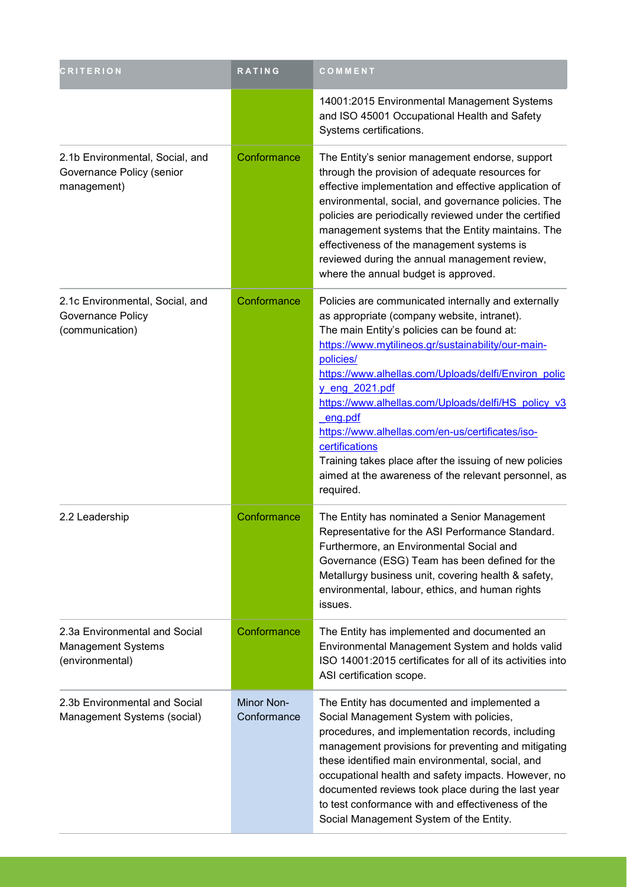| <b>CRITERION</b>                                                              | <b>RATING</b>             | COMMENT                                                                                                                                                                                                                                                                                                                                                                                                                                                                                                                                                                      |
|-------------------------------------------------------------------------------|---------------------------|------------------------------------------------------------------------------------------------------------------------------------------------------------------------------------------------------------------------------------------------------------------------------------------------------------------------------------------------------------------------------------------------------------------------------------------------------------------------------------------------------------------------------------------------------------------------------|
|                                                                               |                           | 14001:2015 Environmental Management Systems<br>and ISO 45001 Occupational Health and Safety<br>Systems certifications.                                                                                                                                                                                                                                                                                                                                                                                                                                                       |
| 2.1b Environmental, Social, and<br>Governance Policy (senior<br>management)   | Conformance               | The Entity's senior management endorse, support<br>through the provision of adequate resources for<br>effective implementation and effective application of<br>environmental, social, and governance policies. The<br>policies are periodically reviewed under the certified<br>management systems that the Entity maintains. The<br>effectiveness of the management systems is<br>reviewed during the annual management review,<br>where the annual budget is approved.                                                                                                     |
| 2.1c Environmental, Social, and<br>Governance Policy<br>(communication)       | Conformance               | Policies are communicated internally and externally<br>as appropriate (company website, intranet).<br>The main Entity's policies can be found at:<br>https://www.mytilineos.gr/sustainability/our-main-<br>policies/<br>https://www.alhellas.com/Uploads/delfi/Environ polic<br><u>y_eng_2021.pdf</u><br>https://www.alhellas.com/Uploads/delfi/HS policy v3<br>eng.pdf<br>https://www.alhellas.com/en-us/certificates/iso-<br>certifications<br>Training takes place after the issuing of new policies<br>aimed at the awareness of the relevant personnel, as<br>required. |
| 2.2 Leadership                                                                | Conformance               | The Entity has nominated a Senior Management<br>Representative for the ASI Performance Standard.<br>Furthermore, an Environmental Social and<br>Governance (ESG) Team has been defined for the<br>Metallurgy business unit, covering health & safety,<br>environmental, labour, ethics, and human rights<br>issues.                                                                                                                                                                                                                                                          |
| 2.3a Environmental and Social<br><b>Management Systems</b><br>(environmental) | Conformance               | The Entity has implemented and documented an<br>Environmental Management System and holds valid<br>ISO 14001:2015 certificates for all of its activities into<br>ASI certification scope.                                                                                                                                                                                                                                                                                                                                                                                    |
| 2.3b Environmental and Social<br>Management Systems (social)                  | Minor Non-<br>Conformance | The Entity has documented and implemented a<br>Social Management System with policies,<br>procedures, and implementation records, including<br>management provisions for preventing and mitigating<br>these identified main environmental, social, and<br>occupational health and safety impacts. However, no<br>documented reviews took place during the last year<br>to test conformance with and effectiveness of the<br>Social Management System of the Entity.                                                                                                          |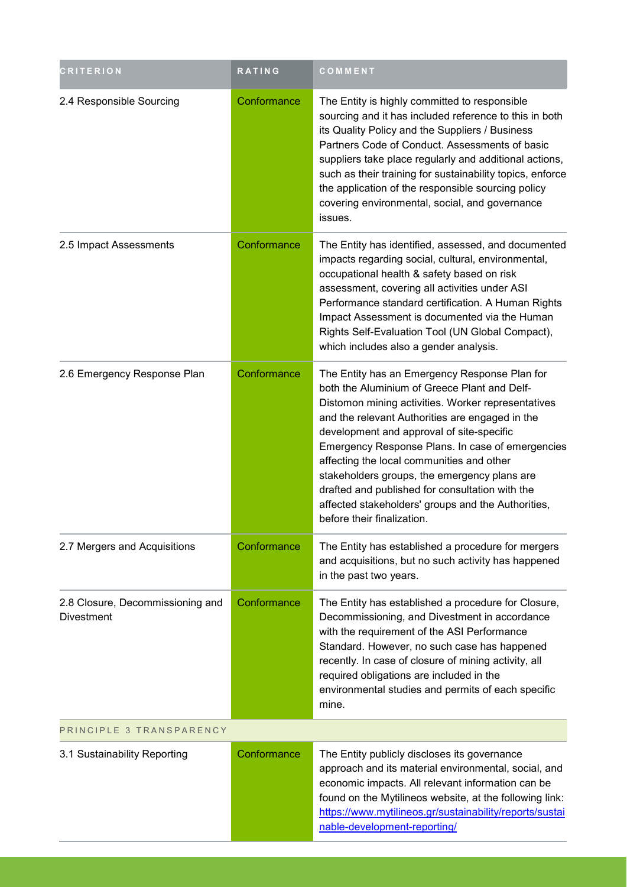| <b>CRITERION</b>                                      | <b>RATING</b> | COMMENT                                                                                                                                                                                                                                                                                                                                                                                                                                                                                                                                     |  |
|-------------------------------------------------------|---------------|---------------------------------------------------------------------------------------------------------------------------------------------------------------------------------------------------------------------------------------------------------------------------------------------------------------------------------------------------------------------------------------------------------------------------------------------------------------------------------------------------------------------------------------------|--|
| 2.4 Responsible Sourcing                              | Conformance   | The Entity is highly committed to responsible<br>sourcing and it has included reference to this in both<br>its Quality Policy and the Suppliers / Business<br>Partners Code of Conduct. Assessments of basic<br>suppliers take place regularly and additional actions,<br>such as their training for sustainability topics, enforce<br>the application of the responsible sourcing policy<br>covering environmental, social, and governance<br>issues.                                                                                      |  |
| 2.5 Impact Assessments                                | Conformance   | The Entity has identified, assessed, and documented<br>impacts regarding social, cultural, environmental,<br>occupational health & safety based on risk<br>assessment, covering all activities under ASI<br>Performance standard certification. A Human Rights<br>Impact Assessment is documented via the Human<br>Rights Self-Evaluation Tool (UN Global Compact),<br>which includes also a gender analysis.                                                                                                                               |  |
| 2.6 Emergency Response Plan                           | Conformance   | The Entity has an Emergency Response Plan for<br>both the Aluminium of Greece Plant and Delf-<br>Distomon mining activities. Worker representatives<br>and the relevant Authorities are engaged in the<br>development and approval of site-specific<br>Emergency Response Plans. In case of emergencies<br>affecting the local communities and other<br>stakeholders groups, the emergency plans are<br>drafted and published for consultation with the<br>affected stakeholders' groups and the Authorities,<br>before their finalization. |  |
| 2.7 Mergers and Acquisitions                          | Conformance   | The Entity has established a procedure for mergers<br>and acquisitions, but no such activity has happened<br>in the past two years.                                                                                                                                                                                                                                                                                                                                                                                                         |  |
| 2.8 Closure, Decommissioning and<br><b>Divestment</b> | Conformance   | The Entity has established a procedure for Closure,<br>Decommissioning, and Divestment in accordance<br>with the requirement of the ASI Performance<br>Standard. However, no such case has happened<br>recently. In case of closure of mining activity, all<br>required obligations are included in the<br>environmental studies and permits of each specific<br>mine.                                                                                                                                                                      |  |
| PRINCIPLE 3 TRANSPARENCY                              |               |                                                                                                                                                                                                                                                                                                                                                                                                                                                                                                                                             |  |
| 3.1 Sustainability Reporting                          | Conformance   | The Entity publicly discloses its governance<br>approach and its material environmental, social, and<br>economic impacts. All relevant information can be<br>found on the Mytilineos website, at the following link:<br>https://www.mytilineos.gr/sustainability/reports/sustai<br>nable-development-reporting/                                                                                                                                                                                                                             |  |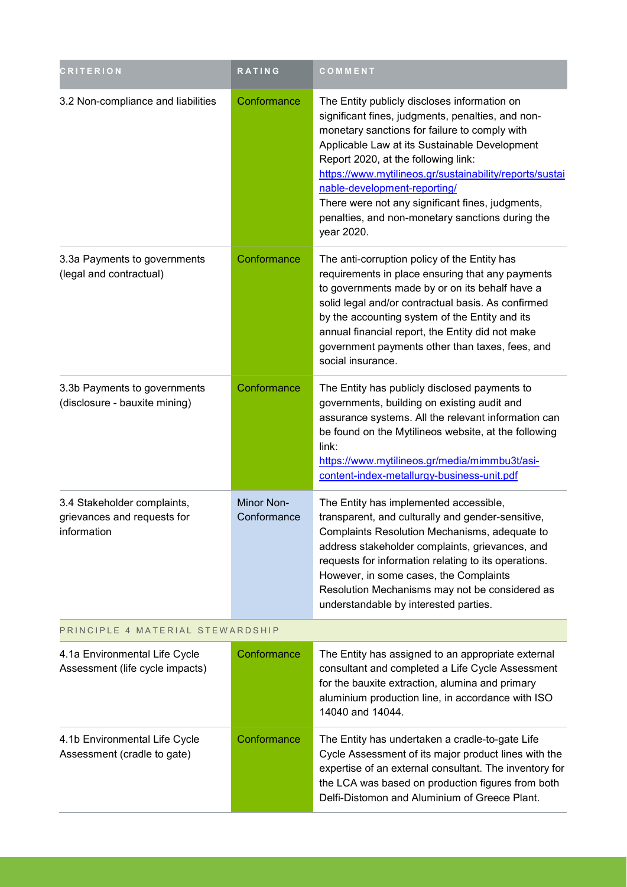| <b>CRITERION</b>                                                          | <b>RATING</b>             | COMMENT                                                                                                                                                                                                                                                                                                                                                                                                                                                     |  |
|---------------------------------------------------------------------------|---------------------------|-------------------------------------------------------------------------------------------------------------------------------------------------------------------------------------------------------------------------------------------------------------------------------------------------------------------------------------------------------------------------------------------------------------------------------------------------------------|--|
| 3.2 Non-compliance and liabilities                                        | Conformance               | The Entity publicly discloses information on<br>significant fines, judgments, penalties, and non-<br>monetary sanctions for failure to comply with<br>Applicable Law at its Sustainable Development<br>Report 2020, at the following link:<br>https://www.mytilineos.gr/sustainability/reports/sustai<br>nable-development-reporting/<br>There were not any significant fines, judgments,<br>penalties, and non-monetary sanctions during the<br>year 2020. |  |
| 3.3a Payments to governments<br>(legal and contractual)                   | Conformance               | The anti-corruption policy of the Entity has<br>requirements in place ensuring that any payments<br>to governments made by or on its behalf have a<br>solid legal and/or contractual basis. As confirmed<br>by the accounting system of the Entity and its<br>annual financial report, the Entity did not make<br>government payments other than taxes, fees, and<br>social insurance.                                                                      |  |
| 3.3b Payments to governments<br>(disclosure - bauxite mining)             | Conformance               | The Entity has publicly disclosed payments to<br>governments, building on existing audit and<br>assurance systems. All the relevant information can<br>be found on the Mytilineos website, at the following<br>link:<br>https://www.mytilineos.gr/media/mimmbu3t/asi-<br>content-index-metallurgy-business-unit.pdf                                                                                                                                         |  |
| 3.4 Stakeholder complaints,<br>grievances and requests for<br>information | Minor Non-<br>Conformance | The Entity has implemented accessible,<br>transparent, and culturally and gender-sensitive,<br>Complaints Resolution Mechanisms, adequate to<br>address stakeholder complaints, grievances, and<br>requests for information relating to its operations.<br>However, in some cases, the Complaints<br>Resolution Mechanisms may not be considered as<br>understandable by interested parties.                                                                |  |
| PRINCIPLE 4 MATERIAL STEWARDSHIP                                          |                           |                                                                                                                                                                                                                                                                                                                                                                                                                                                             |  |
| 4.1a Environmental Life Cycle<br>Assessment (life cycle impacts)          | Conformance               | The Entity has assigned to an appropriate external<br>consultant and completed a Life Cycle Assessment<br>for the bauxite extraction, alumina and primary<br>aluminium production line, in accordance with ISO<br>14040 and 14044.                                                                                                                                                                                                                          |  |
| 4.1b Environmental Life Cycle<br>Assessment (cradle to gate)              | Conformance               | The Entity has undertaken a cradle-to-gate Life<br>Cycle Assessment of its major product lines with the<br>expertise of an external consultant. The inventory for<br>the LCA was based on production figures from both<br>Delfi-Distomon and Aluminium of Greece Plant.                                                                                                                                                                                     |  |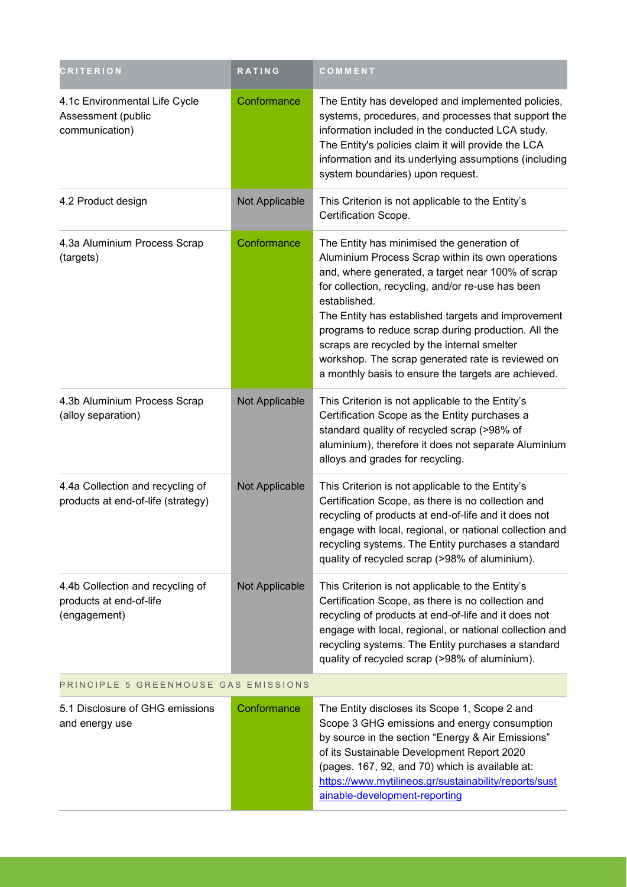| <b>CRITERION</b>                                                            | RATING         | COMMENT                                                                                                                                                                                                                                                                                                                                                                                                                                                                                           |  |  |
|-----------------------------------------------------------------------------|----------------|---------------------------------------------------------------------------------------------------------------------------------------------------------------------------------------------------------------------------------------------------------------------------------------------------------------------------------------------------------------------------------------------------------------------------------------------------------------------------------------------------|--|--|
| 4.1c Environmental Life Cycle<br>Assessment (public<br>communication)       | Conformance    | The Entity has developed and implemented policies,<br>systems, procedures, and processes that support the<br>information included in the conducted LCA study.<br>The Entity's policies claim it will provide the LCA<br>information and its underlying assumptions (including<br>system boundaries) upon request.                                                                                                                                                                                 |  |  |
| 4.2 Product design                                                          | Not Applicable | This Criterion is not applicable to the Entity's<br>Certification Scope.                                                                                                                                                                                                                                                                                                                                                                                                                          |  |  |
| 4.3a Aluminium Process Scrap<br>(targets)                                   | Conformance    | The Entity has minimised the generation of<br>Aluminium Process Scrap within its own operations<br>and, where generated, a target near 100% of scrap<br>for collection, recycling, and/or re-use has been<br>established.<br>The Entity has established targets and improvement<br>programs to reduce scrap during production. All the<br>scraps are recycled by the internal smelter<br>workshop. The scrap generated rate is reviewed on<br>a monthly basis to ensure the targets are achieved. |  |  |
| 4.3b Aluminium Process Scrap<br>(alloy separation)                          | Not Applicable | This Criterion is not applicable to the Entity's<br>Certification Scope as the Entity purchases a<br>standard quality of recycled scrap (>98% of<br>aluminium), therefore it does not separate Aluminium<br>alloys and grades for recycling.                                                                                                                                                                                                                                                      |  |  |
| 4.4a Collection and recycling of<br>products at end-of-life (strategy)      | Not Applicable | This Criterion is not applicable to the Entity's<br>Certification Scope, as there is no collection and<br>recycling of products at end-of-life and it does not<br>engage with local, regional, or national collection and<br>recycling systems. The Entity purchases a standard<br>quality of recycled scrap (>98% of aluminium).                                                                                                                                                                 |  |  |
| 4.4b Collection and recycling of<br>products at end-of-life<br>(engagement) | Not Applicable | This Criterion is not applicable to the Entity's<br>Certification Scope, as there is no collection and<br>recycling of products at end-of-life and it does not<br>engage with local, regional, or national collection and<br>recycling systems. The Entity purchases a standard<br>quality of recycled scrap (>98% of aluminium).                                                                                                                                                                 |  |  |
| PRINCIPLE 5 GREENHOUSE GAS EMISSIONS                                        |                |                                                                                                                                                                                                                                                                                                                                                                                                                                                                                                   |  |  |
| 5.1 Disclosure of GHG emissions<br>and energy use                           | Conformance    | The Entity discloses its Scope 1, Scope 2 and<br>Scope 3 GHG emissions and energy consumption<br>by source in the section "Energy & Air Emissions"<br>of its Sustainable Development Report 2020<br>(pages. 167, 92, and 70) which is available at:<br>https://www.mytilineos.gr/sustainability/reports/sust<br>ainable-development-reporting                                                                                                                                                     |  |  |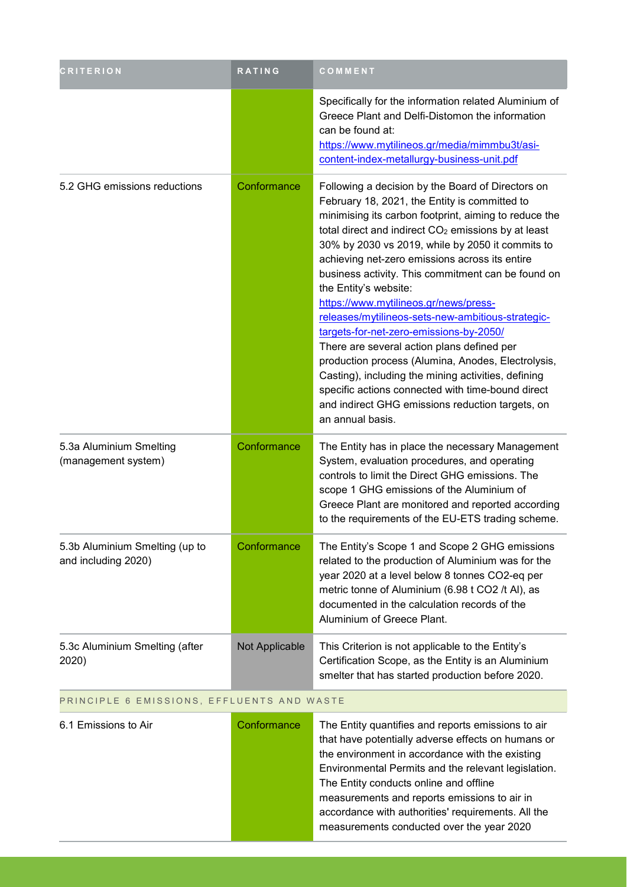| <b>CRITERION</b>                                      | <b>RATING</b>  | COMMENT                                                                                                                                                                                                                                                                                                                                                                                                                                                                                                                                                                                                                                                                                                                                                                                                                                              |
|-------------------------------------------------------|----------------|------------------------------------------------------------------------------------------------------------------------------------------------------------------------------------------------------------------------------------------------------------------------------------------------------------------------------------------------------------------------------------------------------------------------------------------------------------------------------------------------------------------------------------------------------------------------------------------------------------------------------------------------------------------------------------------------------------------------------------------------------------------------------------------------------------------------------------------------------|
|                                                       |                | Specifically for the information related Aluminium of<br>Greece Plant and Delfi-Distomon the information<br>can be found at:<br>https://www.mytilineos.gr/media/mimmbu3t/asi-<br>content-index-metallurgy-business-unit.pdf                                                                                                                                                                                                                                                                                                                                                                                                                                                                                                                                                                                                                          |
| 5.2 GHG emissions reductions                          | Conformance    | Following a decision by the Board of Directors on<br>February 18, 2021, the Entity is committed to<br>minimising its carbon footprint, aiming to reduce the<br>total direct and indirect CO <sub>2</sub> emissions by at least<br>30% by 2030 vs 2019, while by 2050 it commits to<br>achieving net-zero emissions across its entire<br>business activity. This commitment can be found on<br>the Entity's website:<br>https://www.mytilineos.gr/news/press-<br>releases/mytilineos-sets-new-ambitious-strategic-<br>targets-for-net-zero-emissions-by-2050/<br>There are several action plans defined per<br>production process (Alumina, Anodes, Electrolysis,<br>Casting), including the mining activities, defining<br>specific actions connected with time-bound direct<br>and indirect GHG emissions reduction targets, on<br>an annual basis. |
| 5.3a Aluminium Smelting<br>(management system)        | Conformance    | The Entity has in place the necessary Management<br>System, evaluation procedures, and operating<br>controls to limit the Direct GHG emissions. The<br>scope 1 GHG emissions of the Aluminium of<br>Greece Plant are monitored and reported according<br>to the requirements of the EU-ETS trading scheme.                                                                                                                                                                                                                                                                                                                                                                                                                                                                                                                                           |
| 5.3b Aluminium Smelting (up to<br>and including 2020) | Conformance    | The Entity's Scope 1 and Scope 2 GHG emissions<br>related to the production of Aluminium was for the<br>year 2020 at a level below 8 tonnes CO2-eq per<br>metric tonne of Aluminium (6.98 t CO2 /t Al), as<br>documented in the calculation records of the<br>Aluminium of Greece Plant.                                                                                                                                                                                                                                                                                                                                                                                                                                                                                                                                                             |
| 5.3c Aluminium Smelting (after<br>2020)               | Not Applicable | This Criterion is not applicable to the Entity's<br>Certification Scope, as the Entity is an Aluminium<br>smelter that has started production before 2020.                                                                                                                                                                                                                                                                                                                                                                                                                                                                                                                                                                                                                                                                                           |

#### PRINCIPLE 6 EMISSIONS, EFFLUENTS AND WASTE

| 6.1 Emissions to Air | Conformance | The Entity quantifies and reports emissions to air<br>that have potentially adverse effects on humans or<br>the environment in accordance with the existing<br>Environmental Permits and the relevant legislation.<br>The Entity conducts online and offline<br>measurements and reports emissions to air in<br>accordance with authorities' requirements. All the |
|----------------------|-------------|--------------------------------------------------------------------------------------------------------------------------------------------------------------------------------------------------------------------------------------------------------------------------------------------------------------------------------------------------------------------|
|                      |             | measurements conducted over the year 2020                                                                                                                                                                                                                                                                                                                          |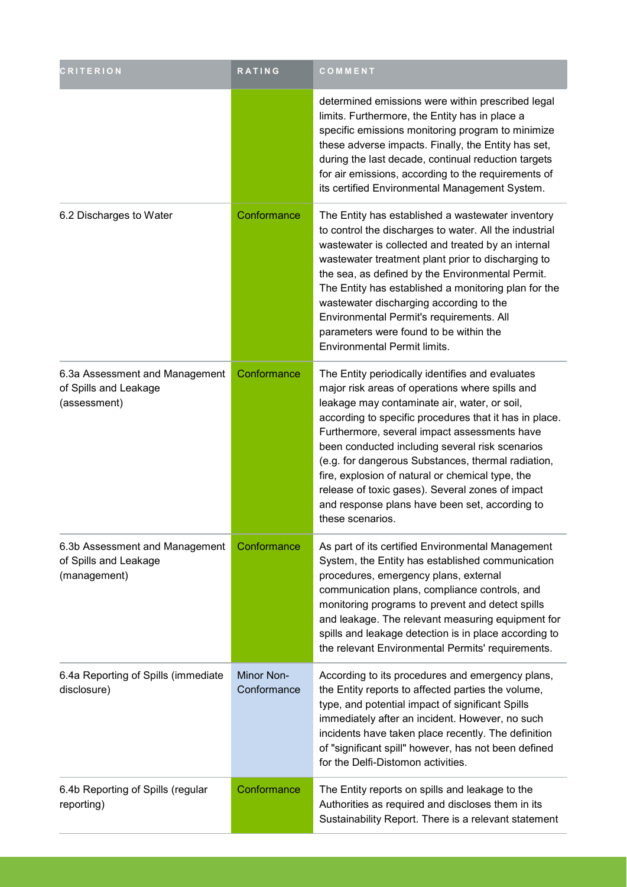| <b>CRITERION</b>                                                        | RATING                           | COMMENT                                                                                                                                                                                                                                                                                                                                                                                                                                                                                                                                              |
|-------------------------------------------------------------------------|----------------------------------|------------------------------------------------------------------------------------------------------------------------------------------------------------------------------------------------------------------------------------------------------------------------------------------------------------------------------------------------------------------------------------------------------------------------------------------------------------------------------------------------------------------------------------------------------|
|                                                                         |                                  | determined emissions were within prescribed legal<br>limits. Furthermore, the Entity has in place a<br>specific emissions monitoring program to minimize<br>these adverse impacts. Finally, the Entity has set,<br>during the last decade, continual reduction targets<br>for air emissions, according to the requirements of<br>its certified Environmental Management System.                                                                                                                                                                      |
| 6.2 Discharges to Water                                                 | Conformance                      | The Entity has established a wastewater inventory<br>to control the discharges to water. All the industrial<br>wastewater is collected and treated by an internal<br>wastewater treatment plant prior to discharging to<br>the sea, as defined by the Environmental Permit.<br>The Entity has established a monitoring plan for the<br>wastewater discharging according to the<br>Environmental Permit's requirements. All<br>parameters were found to be within the<br><b>Environmental Permit limits.</b>                                          |
| 6.3a Assessment and Management<br>of Spills and Leakage<br>(assessment) | Conformance                      | The Entity periodically identifies and evaluates<br>major risk areas of operations where spills and<br>leakage may contaminate air, water, or soil,<br>according to specific procedures that it has in place.<br>Furthermore, several impact assessments have<br>been conducted including several risk scenarios<br>(e.g. for dangerous Substances, thermal radiation,<br>fire, explosion of natural or chemical type, the<br>release of toxic gases). Several zones of impact<br>and response plans have been set, according to<br>these scenarios. |
| 6.3b Assessment and Management<br>of Spills and Leakage<br>(management) | Conformance                      | As part of its certified Environmental Management<br>System, the Entity has established communication<br>procedures, emergency plans, external<br>communication plans, compliance controls, and<br>monitoring programs to prevent and detect spills<br>and leakage. The relevant measuring equipment for<br>spills and leakage detection is in place according to<br>the relevant Environmental Permits' requirements.                                                                                                                               |
| 6.4a Reporting of Spills (immediate<br>disclosure)                      | <b>Minor Non-</b><br>Conformance | According to its procedures and emergency plans,<br>the Entity reports to affected parties the volume,<br>type, and potential impact of significant Spills<br>immediately after an incident. However, no such<br>incidents have taken place recently. The definition<br>of "significant spill" however, has not been defined<br>for the Delfi-Distomon activities.                                                                                                                                                                                   |
| 6.4b Reporting of Spills (regular<br>reporting)                         | Conformance                      | The Entity reports on spills and leakage to the<br>Authorities as required and discloses them in its<br>Sustainability Report. There is a relevant statement                                                                                                                                                                                                                                                                                                                                                                                         |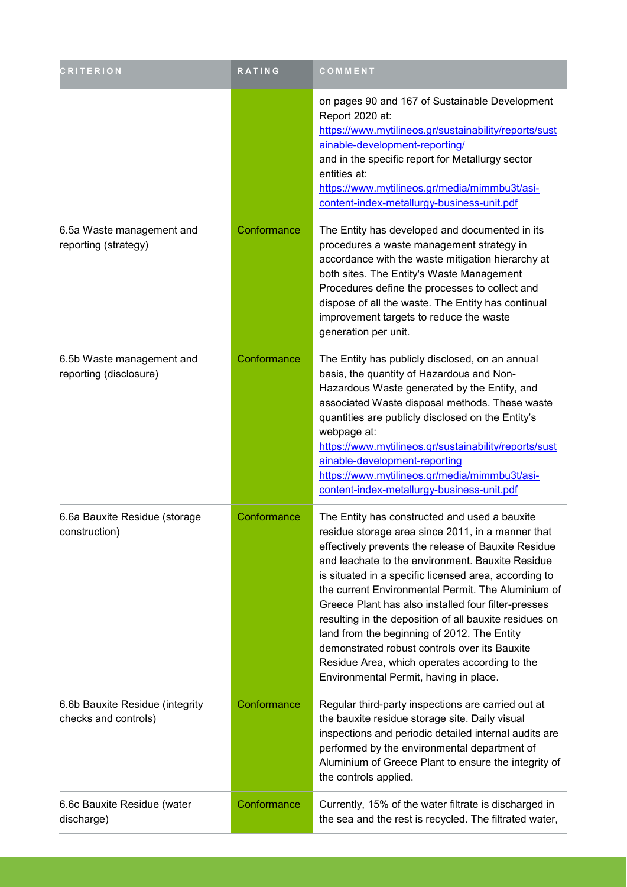| <b>CRITERION</b>                                        | <b>RATING</b> | COMMENT                                                                                                                                                                                                                                                                                                                                                                                                                                                                                                                                                                                                                                  |
|---------------------------------------------------------|---------------|------------------------------------------------------------------------------------------------------------------------------------------------------------------------------------------------------------------------------------------------------------------------------------------------------------------------------------------------------------------------------------------------------------------------------------------------------------------------------------------------------------------------------------------------------------------------------------------------------------------------------------------|
|                                                         |               | on pages 90 and 167 of Sustainable Development<br>Report 2020 at:<br>https://www.mytilineos.gr/sustainability/reports/sust<br>ainable-development-reporting/<br>and in the specific report for Metallurgy sector<br>entities at:<br>https://www.mytilineos.gr/media/mimmbu3t/asi-<br>content-index-metallurgy-business-unit.pdf                                                                                                                                                                                                                                                                                                          |
| 6.5a Waste management and<br>reporting (strategy)       | Conformance   | The Entity has developed and documented in its<br>procedures a waste management strategy in<br>accordance with the waste mitigation hierarchy at<br>both sites. The Entity's Waste Management<br>Procedures define the processes to collect and<br>dispose of all the waste. The Entity has continual<br>improvement targets to reduce the waste<br>generation per unit.                                                                                                                                                                                                                                                                 |
| 6.5b Waste management and<br>reporting (disclosure)     | Conformance   | The Entity has publicly disclosed, on an annual<br>basis, the quantity of Hazardous and Non-<br>Hazardous Waste generated by the Entity, and<br>associated Waste disposal methods. These waste<br>quantities are publicly disclosed on the Entity's<br>webpage at:<br>https://www.mytilineos.gr/sustainability/reports/sust<br>ainable-development-reporting<br>https://www.mytilineos.gr/media/mimmbu3t/asi-<br>content-index-metallurgy-business-unit.pdf                                                                                                                                                                              |
| 6.6a Bauxite Residue (storage<br>construction)          | Conformance   | The Entity has constructed and used a bauxite<br>residue storage area since 2011, in a manner that<br>effectively prevents the release of Bauxite Residue<br>and leachate to the environment. Bauxite Residue<br>is situated in a specific licensed area, according to<br>the current Environmental Permit. The Aluminium of<br>Greece Plant has also installed four filter-presses<br>resulting in the deposition of all bauxite residues on<br>land from the beginning of 2012. The Entity<br>demonstrated robust controls over its Bauxite<br>Residue Area, which operates according to the<br>Environmental Permit, having in place. |
| 6.6b Bauxite Residue (integrity<br>checks and controls) | Conformance   | Regular third-party inspections are carried out at<br>the bauxite residue storage site. Daily visual<br>inspections and periodic detailed internal audits are<br>performed by the environmental department of<br>Aluminium of Greece Plant to ensure the integrity of<br>the controls applied.                                                                                                                                                                                                                                                                                                                                           |
| 6.6c Bauxite Residue (water<br>discharge)               | Conformance   | Currently, 15% of the water filtrate is discharged in<br>the sea and the rest is recycled. The filtrated water,                                                                                                                                                                                                                                                                                                                                                                                                                                                                                                                          |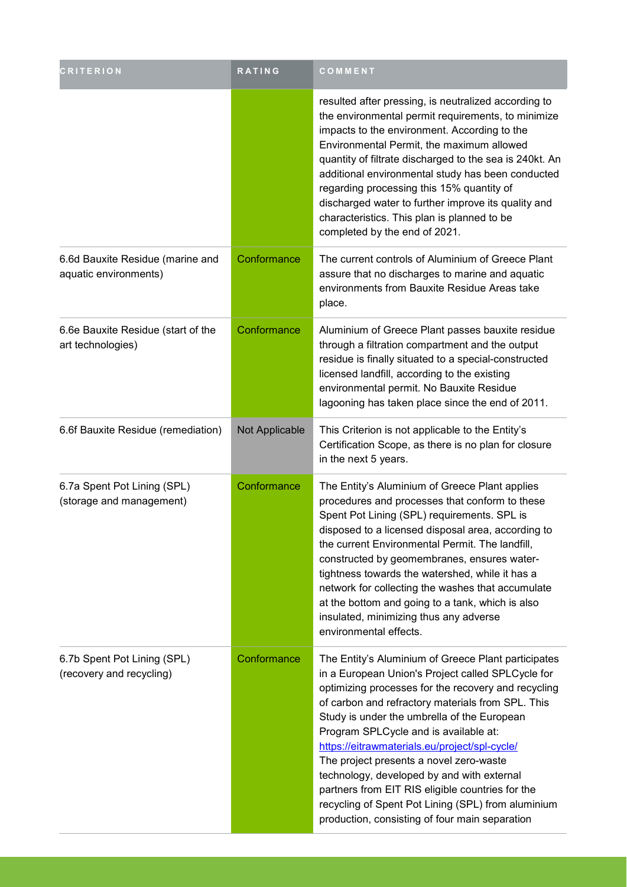| <b>CRITERION</b>                                          | <b>RATING</b>  | COMMENT                                                                                                                                                                                                                                                                                                                                                                                                                                                                                                                                                                                                            |
|-----------------------------------------------------------|----------------|--------------------------------------------------------------------------------------------------------------------------------------------------------------------------------------------------------------------------------------------------------------------------------------------------------------------------------------------------------------------------------------------------------------------------------------------------------------------------------------------------------------------------------------------------------------------------------------------------------------------|
|                                                           |                | resulted after pressing, is neutralized according to<br>the environmental permit requirements, to minimize<br>impacts to the environment. According to the<br>Environmental Permit, the maximum allowed<br>quantity of filtrate discharged to the sea is 240kt. An<br>additional environmental study has been conducted<br>regarding processing this 15% quantity of<br>discharged water to further improve its quality and<br>characteristics. This plan is planned to be<br>completed by the end of 2021.                                                                                                        |
| 6.6d Bauxite Residue (marine and<br>aquatic environments) | Conformance    | The current controls of Aluminium of Greece Plant<br>assure that no discharges to marine and aquatic<br>environments from Bauxite Residue Areas take<br>place.                                                                                                                                                                                                                                                                                                                                                                                                                                                     |
| 6.6e Bauxite Residue (start of the<br>art technologies)   | Conformance    | Aluminium of Greece Plant passes bauxite residue<br>through a filtration compartment and the output<br>residue is finally situated to a special-constructed<br>licensed landfill, according to the existing<br>environmental permit. No Bauxite Residue<br>lagooning has taken place since the end of 2011.                                                                                                                                                                                                                                                                                                        |
| 6.6f Bauxite Residue (remediation)                        | Not Applicable | This Criterion is not applicable to the Entity's<br>Certification Scope, as there is no plan for closure<br>in the next 5 years.                                                                                                                                                                                                                                                                                                                                                                                                                                                                                   |
| 6.7a Spent Pot Lining (SPL)<br>(storage and management)   | Conformance    | The Entity's Aluminium of Greece Plant applies<br>procedures and processes that conform to these<br>Spent Pot Lining (SPL) requirements. SPL is<br>disposed to a licensed disposal area, according to<br>the current Environmental Permit. The landfill,<br>constructed by geomembranes, ensures water-<br>tightness towards the watershed, while it has a<br>network for collecting the washes that accumulate<br>at the bottom and going to a tank, which is also<br>insulated, minimizing thus any adverse<br>environmental effects.                                                                            |
| 6.7b Spent Pot Lining (SPL)<br>(recovery and recycling)   | Conformance    | The Entity's Aluminium of Greece Plant participates<br>in a European Union's Project called SPLCycle for<br>optimizing processes for the recovery and recycling<br>of carbon and refractory materials from SPL. This<br>Study is under the umbrella of the European<br>Program SPLCycle and is available at:<br>https://eitrawmaterials.eu/project/spl-cycle/<br>The project presents a novel zero-waste<br>technology, developed by and with external<br>partners from EIT RIS eligible countries for the<br>recycling of Spent Pot Lining (SPL) from aluminium<br>production, consisting of four main separation |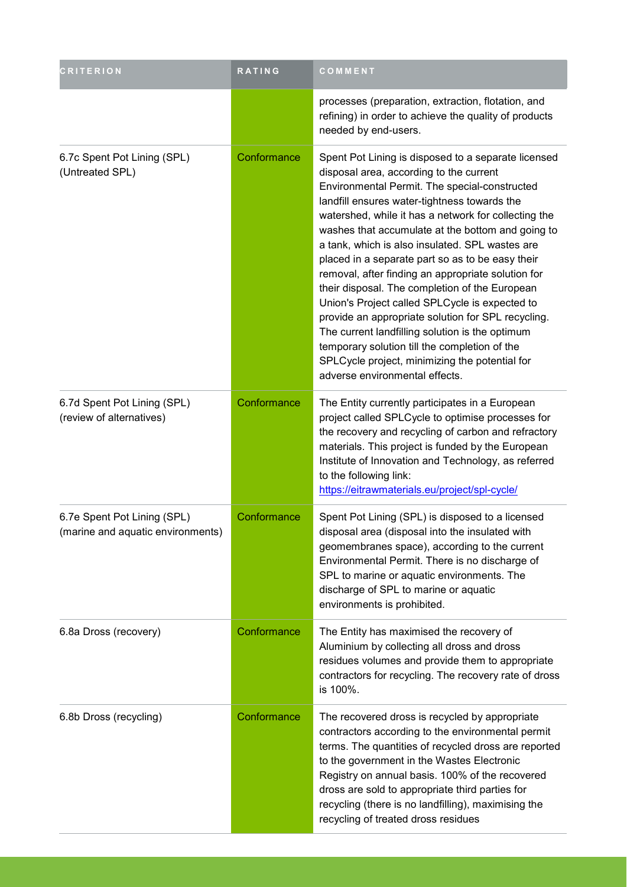| <b>CRITERION</b>                                                 | RATING      | COMMENT                                                                                                                                                                                                                                                                                                                                                                                                                                                                                                                                                                                                                                                                                                                                                                                                                     |
|------------------------------------------------------------------|-------------|-----------------------------------------------------------------------------------------------------------------------------------------------------------------------------------------------------------------------------------------------------------------------------------------------------------------------------------------------------------------------------------------------------------------------------------------------------------------------------------------------------------------------------------------------------------------------------------------------------------------------------------------------------------------------------------------------------------------------------------------------------------------------------------------------------------------------------|
|                                                                  |             | processes (preparation, extraction, flotation, and<br>refining) in order to achieve the quality of products<br>needed by end-users.                                                                                                                                                                                                                                                                                                                                                                                                                                                                                                                                                                                                                                                                                         |
| 6.7c Spent Pot Lining (SPL)<br>(Untreated SPL)                   | Conformance | Spent Pot Lining is disposed to a separate licensed<br>disposal area, according to the current<br>Environmental Permit. The special-constructed<br>landfill ensures water-tightness towards the<br>watershed, while it has a network for collecting the<br>washes that accumulate at the bottom and going to<br>a tank, which is also insulated. SPL wastes are<br>placed in a separate part so as to be easy their<br>removal, after finding an appropriate solution for<br>their disposal. The completion of the European<br>Union's Project called SPLCycle is expected to<br>provide an appropriate solution for SPL recycling.<br>The current landfilling solution is the optimum<br>temporary solution till the completion of the<br>SPLCycle project, minimizing the potential for<br>adverse environmental effects. |
| 6.7d Spent Pot Lining (SPL)<br>(review of alternatives)          | Conformance | The Entity currently participates in a European<br>project called SPLCycle to optimise processes for<br>the recovery and recycling of carbon and refractory<br>materials. This project is funded by the European<br>Institute of Innovation and Technology, as referred<br>to the following link:<br>https://eitrawmaterials.eu/project/spl-cycle/                                                                                                                                                                                                                                                                                                                                                                                                                                                                          |
| 6.7e Spent Pot Lining (SPL)<br>(marine and aquatic environments) | Conformance | Spent Pot Lining (SPL) is disposed to a licensed<br>disposal area (disposal into the insulated with<br>geomembranes space), according to the current<br>Environmental Permit. There is no discharge of<br>SPL to marine or aquatic environments. The<br>discharge of SPL to marine or aquatic<br>environments is prohibited.                                                                                                                                                                                                                                                                                                                                                                                                                                                                                                |
| 6.8a Dross (recovery)                                            | Conformance | The Entity has maximised the recovery of<br>Aluminium by collecting all dross and dross<br>residues volumes and provide them to appropriate<br>contractors for recycling. The recovery rate of dross<br>is 100%.                                                                                                                                                                                                                                                                                                                                                                                                                                                                                                                                                                                                            |
| 6.8b Dross (recycling)                                           | Conformance | The recovered dross is recycled by appropriate<br>contractors according to the environmental permit<br>terms. The quantities of recycled dross are reported<br>to the government in the Wastes Electronic<br>Registry on annual basis. 100% of the recovered<br>dross are sold to appropriate third parties for<br>recycling (there is no landfilling), maximising the<br>recycling of treated dross residues                                                                                                                                                                                                                                                                                                                                                                                                               |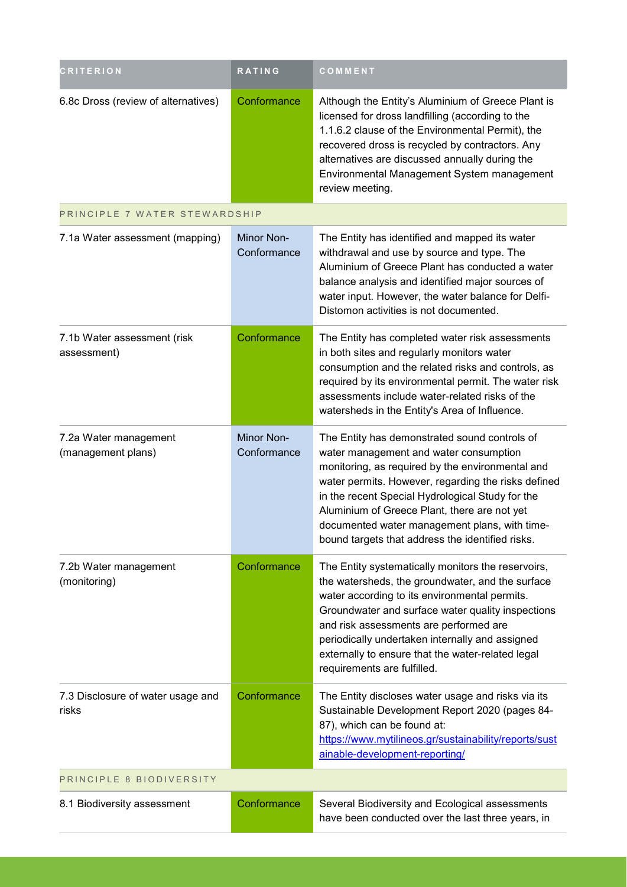| <b>CRITERION</b>                            | RATING                    | COMMENT                                                                                                                                                                                                                                                                                                                                                                                                     |
|---------------------------------------------|---------------------------|-------------------------------------------------------------------------------------------------------------------------------------------------------------------------------------------------------------------------------------------------------------------------------------------------------------------------------------------------------------------------------------------------------------|
| 6.8c Dross (review of alternatives)         | Conformance               | Although the Entity's Aluminium of Greece Plant is<br>licensed for dross landfilling (according to the<br>1.1.6.2 clause of the Environmental Permit), the<br>recovered dross is recycled by contractors. Any<br>alternatives are discussed annually during the<br>Environmental Management System management<br>review meeting.                                                                            |
| PRINCIPLE 7 WATER STEWARDSHIP               |                           |                                                                                                                                                                                                                                                                                                                                                                                                             |
| 7.1a Water assessment (mapping)             | Minor Non-<br>Conformance | The Entity has identified and mapped its water<br>withdrawal and use by source and type. The<br>Aluminium of Greece Plant has conducted a water<br>balance analysis and identified major sources of<br>water input. However, the water balance for Delfi-<br>Distomon activities is not documented.                                                                                                         |
| 7.1b Water assessment (risk<br>assessment)  | Conformance               | The Entity has completed water risk assessments<br>in both sites and regularly monitors water<br>consumption and the related risks and controls, as<br>required by its environmental permit. The water risk<br>assessments include water-related risks of the<br>watersheds in the Entity's Area of Influence.                                                                                              |
| 7.2a Water management<br>(management plans) | Minor Non-<br>Conformance | The Entity has demonstrated sound controls of<br>water management and water consumption<br>monitoring, as required by the environmental and<br>water permits. However, regarding the risks defined<br>in the recent Special Hydrological Study for the<br>Aluminium of Greece Plant, there are not yet<br>documented water management plans, with time-<br>bound targets that address the identified risks. |
| 7.2b Water management<br>(monitoring)       | Conformance               | The Entity systematically monitors the reservoirs,<br>the watersheds, the groundwater, and the surface<br>water according to its environmental permits.<br>Groundwater and surface water quality inspections<br>and risk assessments are performed are<br>periodically undertaken internally and assigned<br>externally to ensure that the water-related legal<br>requirements are fulfilled.               |
| 7.3 Disclosure of water usage and<br>risks  | Conformance               | The Entity discloses water usage and risks via its<br>Sustainable Development Report 2020 (pages 84-<br>87), which can be found at:<br>https://www.mytilineos.gr/sustainability/reports/sust<br>ainable-development-reporting/                                                                                                                                                                              |
| PRINCIPLE 8 BIODIVERSITY                    |                           |                                                                                                                                                                                                                                                                                                                                                                                                             |
| 8.1 Biodiversity assessment                 | Conformance               | Several Biodiversity and Ecological assessments<br>have been conducted over the last three years, in                                                                                                                                                                                                                                                                                                        |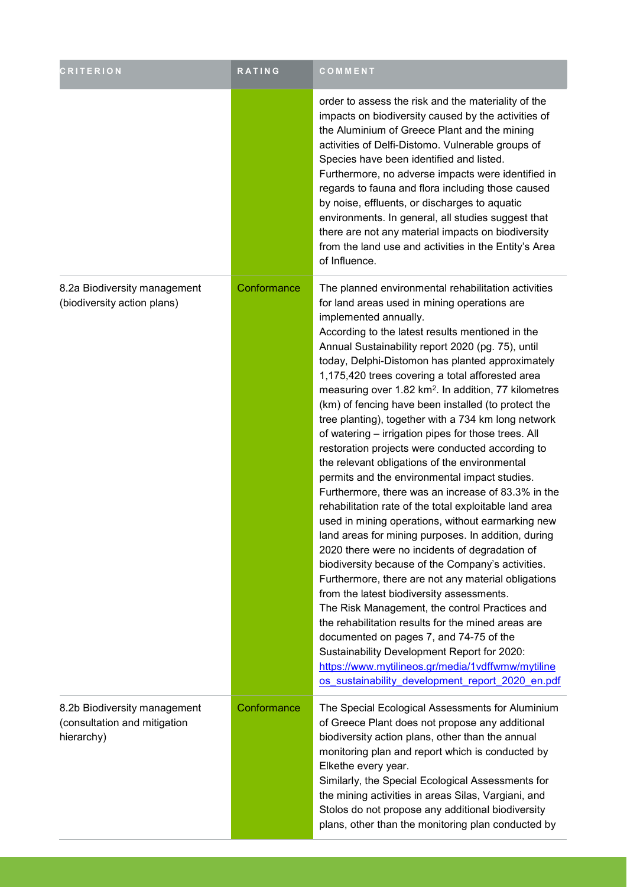| <b>CRITERION</b>                                                           | <b>RATING</b> | COMMENT                                                                                                                                                                                                                                                                                                                                                                                                                                                                                                                                                                                                                                                                                                                                                                                                                                                                                                                                                                                                                                                                                                                                                                                                                                                                                                                                                                                                                                                                                        |
|----------------------------------------------------------------------------|---------------|------------------------------------------------------------------------------------------------------------------------------------------------------------------------------------------------------------------------------------------------------------------------------------------------------------------------------------------------------------------------------------------------------------------------------------------------------------------------------------------------------------------------------------------------------------------------------------------------------------------------------------------------------------------------------------------------------------------------------------------------------------------------------------------------------------------------------------------------------------------------------------------------------------------------------------------------------------------------------------------------------------------------------------------------------------------------------------------------------------------------------------------------------------------------------------------------------------------------------------------------------------------------------------------------------------------------------------------------------------------------------------------------------------------------------------------------------------------------------------------------|
|                                                                            |               | order to assess the risk and the materiality of the<br>impacts on biodiversity caused by the activities of<br>the Aluminium of Greece Plant and the mining<br>activities of Delfi-Distomo. Vulnerable groups of<br>Species have been identified and listed.<br>Furthermore, no adverse impacts were identified in<br>regards to fauna and flora including those caused<br>by noise, effluents, or discharges to aquatic<br>environments. In general, all studies suggest that<br>there are not any material impacts on biodiversity<br>from the land use and activities in the Entity's Area<br>of Influence.                                                                                                                                                                                                                                                                                                                                                                                                                                                                                                                                                                                                                                                                                                                                                                                                                                                                                  |
| 8.2a Biodiversity management<br>(biodiversity action plans)                | Conformance   | The planned environmental rehabilitation activities<br>for land areas used in mining operations are<br>implemented annually.<br>According to the latest results mentioned in the<br>Annual Sustainability report 2020 (pg. 75), until<br>today, Delphi-Distomon has planted approximately<br>1,175,420 trees covering a total afforested area<br>measuring over 1.82 km <sup>2</sup> . In addition, 77 kilometres<br>(km) of fencing have been installed (to protect the<br>tree planting), together with a 734 km long network<br>of watering - irrigation pipes for those trees. All<br>restoration projects were conducted according to<br>the relevant obligations of the environmental<br>permits and the environmental impact studies.<br>Furthermore, there was an increase of 83.3% in the<br>rehabilitation rate of the total exploitable land area<br>used in mining operations, without earmarking new<br>land areas for mining purposes. In addition, during<br>2020 there were no incidents of degradation of<br>biodiversity because of the Company's activities.<br>Furthermore, there are not any material obligations<br>from the latest biodiversity assessments.<br>The Risk Management, the control Practices and<br>the rehabilitation results for the mined areas are<br>documented on pages 7, and 74-75 of the<br>Sustainability Development Report for 2020:<br>https://www.mytilineos.gr/media/1vdffwmw/mytiline<br>os sustainability development report 2020 en.pdf |
| 8.2b Biodiversity management<br>(consultation and mitigation<br>hierarchy) | Conformance   | The Special Ecological Assessments for Aluminium<br>of Greece Plant does not propose any additional<br>biodiversity action plans, other than the annual<br>monitoring plan and report which is conducted by<br>Elkethe every year.<br>Similarly, the Special Ecological Assessments for<br>the mining activities in areas Silas, Vargiani, and<br>Stolos do not propose any additional biodiversity<br>plans, other than the monitoring plan conducted by                                                                                                                                                                                                                                                                                                                                                                                                                                                                                                                                                                                                                                                                                                                                                                                                                                                                                                                                                                                                                                      |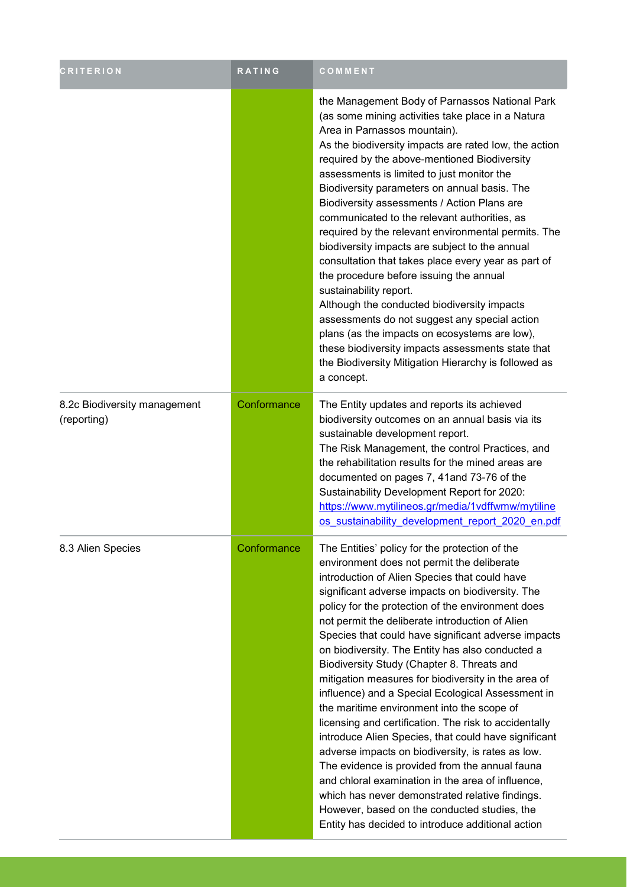| <b>CRITERION</b>                            | <b>RATING</b> | COMMENT                                                                                                                                                                                                                                                                                                                                                                                                                                                                                                                                                                                                                                                                                                                                                                                                                                                                                                                                                                                                                                                           |
|---------------------------------------------|---------------|-------------------------------------------------------------------------------------------------------------------------------------------------------------------------------------------------------------------------------------------------------------------------------------------------------------------------------------------------------------------------------------------------------------------------------------------------------------------------------------------------------------------------------------------------------------------------------------------------------------------------------------------------------------------------------------------------------------------------------------------------------------------------------------------------------------------------------------------------------------------------------------------------------------------------------------------------------------------------------------------------------------------------------------------------------------------|
|                                             |               | the Management Body of Parnassos National Park<br>(as some mining activities take place in a Natura<br>Area in Parnassos mountain).<br>As the biodiversity impacts are rated low, the action<br>required by the above-mentioned Biodiversity<br>assessments is limited to just monitor the<br>Biodiversity parameters on annual basis. The<br>Biodiversity assessments / Action Plans are<br>communicated to the relevant authorities, as<br>required by the relevant environmental permits. The<br>biodiversity impacts are subject to the annual<br>consultation that takes place every year as part of<br>the procedure before issuing the annual<br>sustainability report.<br>Although the conducted biodiversity impacts<br>assessments do not suggest any special action<br>plans (as the impacts on ecosystems are low),<br>these biodiversity impacts assessments state that<br>the Biodiversity Mitigation Hierarchy is followed as<br>a concept.                                                                                                        |
| 8.2c Biodiversity management<br>(reporting) | Conformance   | The Entity updates and reports its achieved<br>biodiversity outcomes on an annual basis via its<br>sustainable development report.<br>The Risk Management, the control Practices, and<br>the rehabilitation results for the mined areas are<br>documented on pages 7, 41 and 73-76 of the<br>Sustainability Development Report for 2020:<br>https://www.mytilineos.gr/media/1vdffwmw/mytiline<br>os sustainability development report 2020 en.pdf                                                                                                                                                                                                                                                                                                                                                                                                                                                                                                                                                                                                                 |
| 8.3 Alien Species                           | Conformance   | The Entities' policy for the protection of the<br>environment does not permit the deliberate<br>introduction of Alien Species that could have<br>significant adverse impacts on biodiversity. The<br>policy for the protection of the environment does<br>not permit the deliberate introduction of Alien<br>Species that could have significant adverse impacts<br>on biodiversity. The Entity has also conducted a<br>Biodiversity Study (Chapter 8. Threats and<br>mitigation measures for biodiversity in the area of<br>influence) and a Special Ecological Assessment in<br>the maritime environment into the scope of<br>licensing and certification. The risk to accidentally<br>introduce Alien Species, that could have significant<br>adverse impacts on biodiversity, is rates as low.<br>The evidence is provided from the annual fauna<br>and chloral examination in the area of influence,<br>which has never demonstrated relative findings.<br>However, based on the conducted studies, the<br>Entity has decided to introduce additional action |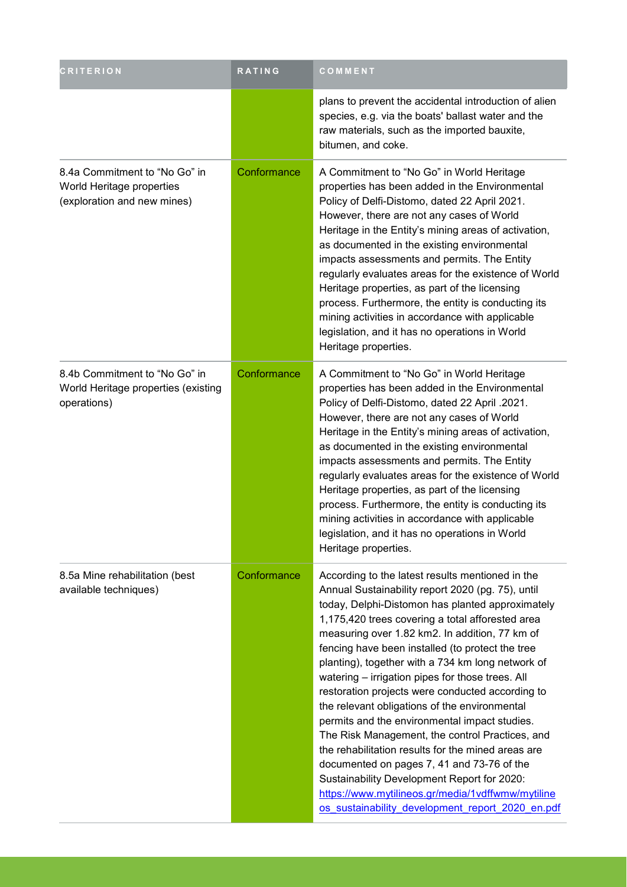| <b>CRITERION</b>                                                                          | RATING      | COMMENT                                                                                                                                                                                                                                                                                                                                                                                                                                                                                                                                                                                                                                                                                                                                                                                                                                                                                           |
|-------------------------------------------------------------------------------------------|-------------|---------------------------------------------------------------------------------------------------------------------------------------------------------------------------------------------------------------------------------------------------------------------------------------------------------------------------------------------------------------------------------------------------------------------------------------------------------------------------------------------------------------------------------------------------------------------------------------------------------------------------------------------------------------------------------------------------------------------------------------------------------------------------------------------------------------------------------------------------------------------------------------------------|
|                                                                                           |             | plans to prevent the accidental introduction of alien<br>species, e.g. via the boats' ballast water and the<br>raw materials, such as the imported bauxite,<br>bitumen, and coke.                                                                                                                                                                                                                                                                                                                                                                                                                                                                                                                                                                                                                                                                                                                 |
| 8.4a Commitment to "No Go" in<br>World Heritage properties<br>(exploration and new mines) | Conformance | A Commitment to "No Go" in World Heritage<br>properties has been added in the Environmental<br>Policy of Delfi-Distomo, dated 22 April 2021.<br>However, there are not any cases of World<br>Heritage in the Entity's mining areas of activation,<br>as documented in the existing environmental<br>impacts assessments and permits. The Entity<br>regularly evaluates areas for the existence of World<br>Heritage properties, as part of the licensing<br>process. Furthermore, the entity is conducting its<br>mining activities in accordance with applicable<br>legislation, and it has no operations in World<br>Heritage properties.                                                                                                                                                                                                                                                       |
| 8.4b Commitment to "No Go" in<br>World Heritage properties (existing<br>operations)       | Conformance | A Commitment to "No Go" in World Heritage<br>properties has been added in the Environmental<br>Policy of Delfi-Distomo, dated 22 April .2021.<br>However, there are not any cases of World<br>Heritage in the Entity's mining areas of activation,<br>as documented in the existing environmental<br>impacts assessments and permits. The Entity<br>regularly evaluates areas for the existence of World<br>Heritage properties, as part of the licensing<br>process. Furthermore, the entity is conducting its<br>mining activities in accordance with applicable<br>legislation, and it has no operations in World<br>Heritage properties.                                                                                                                                                                                                                                                      |
| 8.5a Mine rehabilitation (best<br>available techniques)                                   | Conformance | According to the latest results mentioned in the<br>Annual Sustainability report 2020 (pg. 75), until<br>today, Delphi-Distomon has planted approximately<br>1,175,420 trees covering a total afforested area<br>measuring over 1.82 km2. In addition, 77 km of<br>fencing have been installed (to protect the tree<br>planting), together with a 734 km long network of<br>watering - irrigation pipes for those trees. All<br>restoration projects were conducted according to<br>the relevant obligations of the environmental<br>permits and the environmental impact studies.<br>The Risk Management, the control Practices, and<br>the rehabilitation results for the mined areas are<br>documented on pages 7, 41 and 73-76 of the<br>Sustainability Development Report for 2020:<br>https://www.mytilineos.gr/media/1vdffwmw/mytiline<br>os sustainability development report 2020 en.pdf |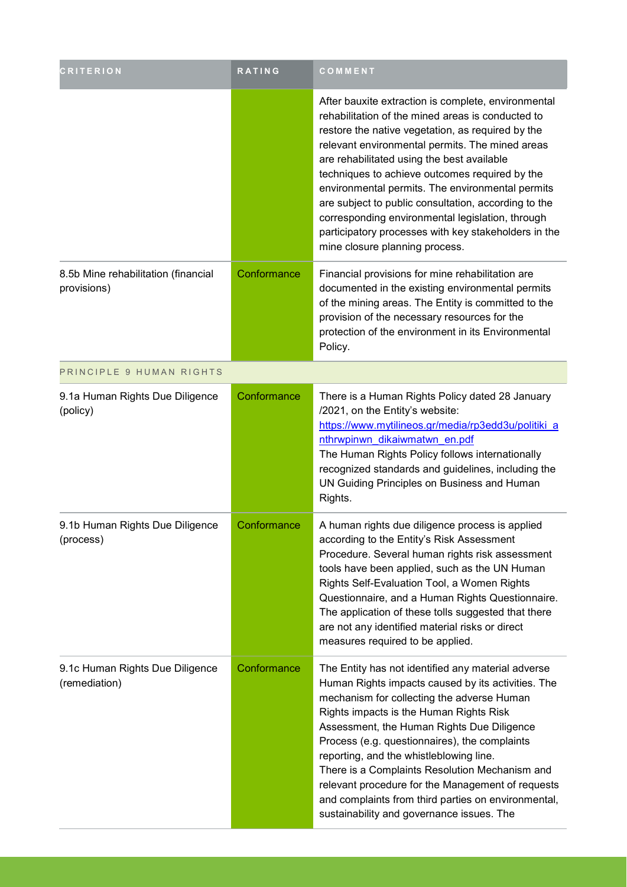| <b>CRITERION</b>                                   | RATING      | COMMENT                                                                                                                                                                                                                                                                                                                                                                                                                                                                                                                                                                    |
|----------------------------------------------------|-------------|----------------------------------------------------------------------------------------------------------------------------------------------------------------------------------------------------------------------------------------------------------------------------------------------------------------------------------------------------------------------------------------------------------------------------------------------------------------------------------------------------------------------------------------------------------------------------|
|                                                    |             | After bauxite extraction is complete, environmental<br>rehabilitation of the mined areas is conducted to<br>restore the native vegetation, as required by the<br>relevant environmental permits. The mined areas<br>are rehabilitated using the best available<br>techniques to achieve outcomes required by the<br>environmental permits. The environmental permits<br>are subject to public consultation, according to the<br>corresponding environmental legislation, through<br>participatory processes with key stakeholders in the<br>mine closure planning process. |
| 8.5b Mine rehabilitation (financial<br>provisions) | Conformance | Financial provisions for mine rehabilitation are<br>documented in the existing environmental permits<br>of the mining areas. The Entity is committed to the<br>provision of the necessary resources for the<br>protection of the environment in its Environmental<br>Policy.                                                                                                                                                                                                                                                                                               |
| PRINCIPLE 9 HUMAN RIGHTS                           |             |                                                                                                                                                                                                                                                                                                                                                                                                                                                                                                                                                                            |
| 9.1a Human Rights Due Diligence<br>(policy)        | Conformance | There is a Human Rights Policy dated 28 January<br>/2021, on the Entity's website:<br>https://www.mytilineos.gr/media/rp3edd3u/politiki_a<br>nthrwpinwn dikaiwmatwn en.pdf<br>The Human Rights Policy follows internationally<br>recognized standards and guidelines, including the<br>UN Guiding Principles on Business and Human<br>Rights.                                                                                                                                                                                                                              |
| 9.1b Human Rights Due Diligence<br>(process)       | Conformance | A human rights due diligence process is applied<br>according to the Entity's Risk Assessment<br>Procedure. Several human rights risk assessment<br>tools have been applied, such as the UN Human<br>Rights Self-Evaluation Tool, a Women Rights<br>Questionnaire, and a Human Rights Questionnaire.<br>The application of these tolls suggested that there<br>are not any identified material risks or direct<br>measures required to be applied.                                                                                                                          |
| 9.1c Human Rights Due Diligence<br>(remediation)   | Conformance | The Entity has not identified any material adverse<br>Human Rights impacts caused by its activities. The<br>mechanism for collecting the adverse Human<br>Rights impacts is the Human Rights Risk<br>Assessment, the Human Rights Due Diligence<br>Process (e.g. questionnaires), the complaints<br>reporting, and the whistleblowing line.<br>There is a Complaints Resolution Mechanism and<br>relevant procedure for the Management of requests<br>and complaints from third parties on environmental,<br>sustainability and governance issues. The                     |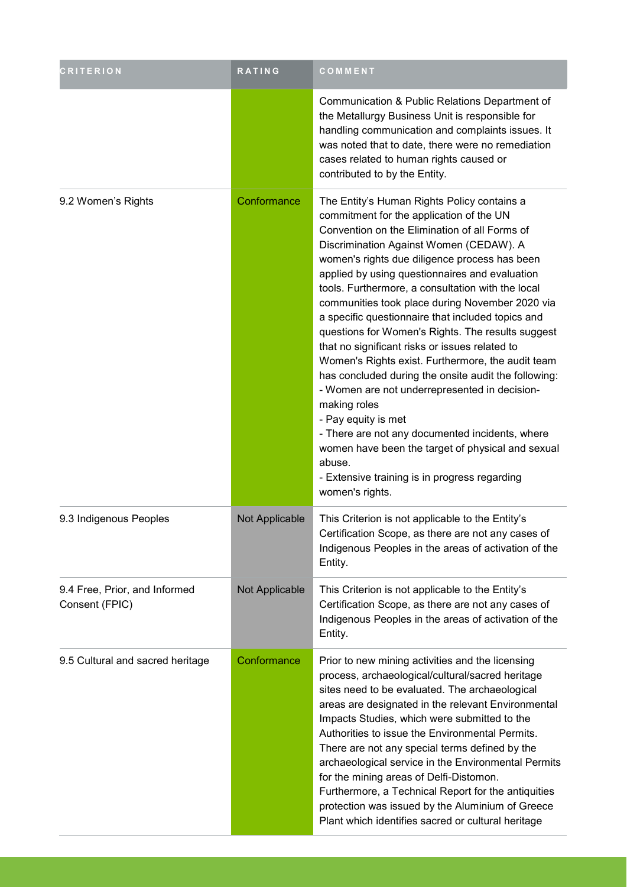| <b>CRITERION</b>                                | <b>RATING</b>  | COMMENT                                                                                                                                                                                                                                                                                                                                                                                                                                                                                                                                                                                                                                                                                                                                                                                                                                                                                                                                               |
|-------------------------------------------------|----------------|-------------------------------------------------------------------------------------------------------------------------------------------------------------------------------------------------------------------------------------------------------------------------------------------------------------------------------------------------------------------------------------------------------------------------------------------------------------------------------------------------------------------------------------------------------------------------------------------------------------------------------------------------------------------------------------------------------------------------------------------------------------------------------------------------------------------------------------------------------------------------------------------------------------------------------------------------------|
|                                                 |                | Communication & Public Relations Department of<br>the Metallurgy Business Unit is responsible for<br>handling communication and complaints issues. It<br>was noted that to date, there were no remediation<br>cases related to human rights caused or<br>contributed to by the Entity.                                                                                                                                                                                                                                                                                                                                                                                                                                                                                                                                                                                                                                                                |
| 9.2 Women's Rights                              | Conformance    | The Entity's Human Rights Policy contains a<br>commitment for the application of the UN<br>Convention on the Elimination of all Forms of<br>Discrimination Against Women (CEDAW). A<br>women's rights due diligence process has been<br>applied by using questionnaires and evaluation<br>tools. Furthermore, a consultation with the local<br>communities took place during November 2020 via<br>a specific questionnaire that included topics and<br>questions for Women's Rights. The results suggest<br>that no significant risks or issues related to<br>Women's Rights exist. Furthermore, the audit team<br>has concluded during the onsite audit the following:<br>- Women are not underrepresented in decision-<br>making roles<br>- Pay equity is met<br>- There are not any documented incidents, where<br>women have been the target of physical and sexual<br>abuse.<br>- Extensive training is in progress regarding<br>women's rights. |
| 9.3 Indigenous Peoples                          | Not Applicable | This Criterion is not applicable to the Entity's<br>Certification Scope, as there are not any cases of<br>Indigenous Peoples in the areas of activation of the<br>Entity.                                                                                                                                                                                                                                                                                                                                                                                                                                                                                                                                                                                                                                                                                                                                                                             |
| 9.4 Free, Prior, and Informed<br>Consent (FPIC) | Not Applicable | This Criterion is not applicable to the Entity's<br>Certification Scope, as there are not any cases of<br>Indigenous Peoples in the areas of activation of the<br>Entity.                                                                                                                                                                                                                                                                                                                                                                                                                                                                                                                                                                                                                                                                                                                                                                             |
| 9.5 Cultural and sacred heritage                | Conformance    | Prior to new mining activities and the licensing<br>process, archaeological/cultural/sacred heritage<br>sites need to be evaluated. The archaeological<br>areas are designated in the relevant Environmental<br>Impacts Studies, which were submitted to the<br>Authorities to issue the Environmental Permits.<br>There are not any special terms defined by the<br>archaeological service in the Environmental Permits<br>for the mining areas of Delfi-Distomon.<br>Furthermore, a Technical Report for the antiquities<br>protection was issued by the Aluminium of Greece<br>Plant which identifies sacred or cultural heritage                                                                                                                                                                                                                                                                                                                  |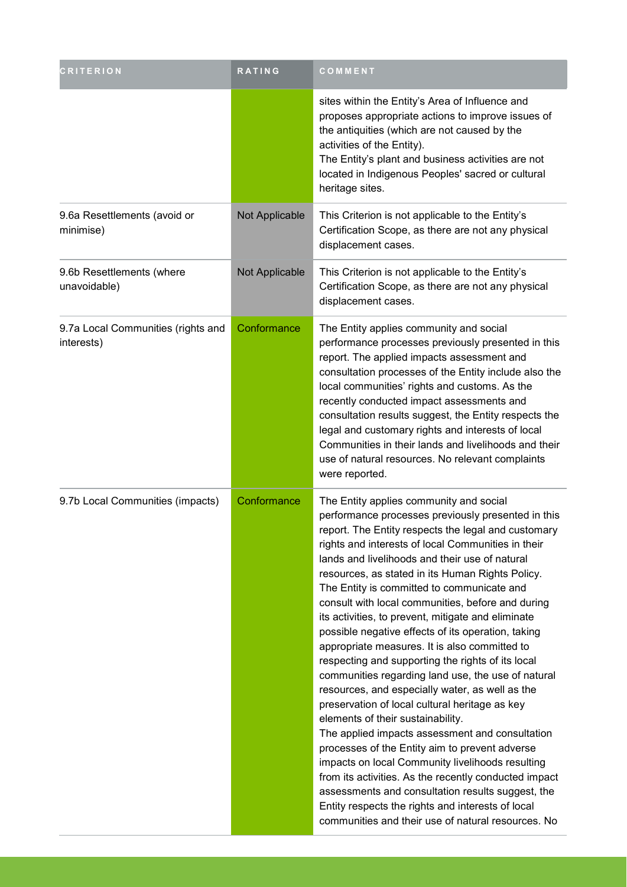| <b>CRITERION</b>                                 | <b>RATING</b>  | COMMENT                                                                                                                                                                                                                                                                                                                                                                                                                                                                                                                                                                                                                                                                                                                                                                                                                                                                                                                                                                                                                                                                                                                                                                                                                 |
|--------------------------------------------------|----------------|-------------------------------------------------------------------------------------------------------------------------------------------------------------------------------------------------------------------------------------------------------------------------------------------------------------------------------------------------------------------------------------------------------------------------------------------------------------------------------------------------------------------------------------------------------------------------------------------------------------------------------------------------------------------------------------------------------------------------------------------------------------------------------------------------------------------------------------------------------------------------------------------------------------------------------------------------------------------------------------------------------------------------------------------------------------------------------------------------------------------------------------------------------------------------------------------------------------------------|
|                                                  |                | sites within the Entity's Area of Influence and<br>proposes appropriate actions to improve issues of<br>the antiquities (which are not caused by the<br>activities of the Entity).<br>The Entity's plant and business activities are not<br>located in Indigenous Peoples' sacred or cultural<br>heritage sites.                                                                                                                                                                                                                                                                                                                                                                                                                                                                                                                                                                                                                                                                                                                                                                                                                                                                                                        |
| 9.6a Resettlements (avoid or<br>minimise)        | Not Applicable | This Criterion is not applicable to the Entity's<br>Certification Scope, as there are not any physical<br>displacement cases.                                                                                                                                                                                                                                                                                                                                                                                                                                                                                                                                                                                                                                                                                                                                                                                                                                                                                                                                                                                                                                                                                           |
| 9.6b Resettlements (where<br>unavoidable)        | Not Applicable | This Criterion is not applicable to the Entity's<br>Certification Scope, as there are not any physical<br>displacement cases.                                                                                                                                                                                                                                                                                                                                                                                                                                                                                                                                                                                                                                                                                                                                                                                                                                                                                                                                                                                                                                                                                           |
| 9.7a Local Communities (rights and<br>interests) | Conformance    | The Entity applies community and social<br>performance processes previously presented in this<br>report. The applied impacts assessment and<br>consultation processes of the Entity include also the<br>local communities' rights and customs. As the<br>recently conducted impact assessments and<br>consultation results suggest, the Entity respects the<br>legal and customary rights and interests of local<br>Communities in their lands and livelihoods and their<br>use of natural resources. No relevant complaints<br>were reported.                                                                                                                                                                                                                                                                                                                                                                                                                                                                                                                                                                                                                                                                          |
| 9.7b Local Communities (impacts)                 | Conformance    | The Entity applies community and social<br>performance processes previously presented in this<br>report. The Entity respects the legal and customary<br>rights and interests of local Communities in their<br>lands and livelihoods and their use of natural<br>resources, as stated in its Human Rights Policy.<br>The Entity is committed to communicate and<br>consult with local communities, before and during<br>its activities, to prevent, mitigate and eliminate<br>possible negative effects of its operation, taking<br>appropriate measures. It is also committed to<br>respecting and supporting the rights of its local<br>communities regarding land use, the use of natural<br>resources, and especially water, as well as the<br>preservation of local cultural heritage as key<br>elements of their sustainability.<br>The applied impacts assessment and consultation<br>processes of the Entity aim to prevent adverse<br>impacts on local Community livelihoods resulting<br>from its activities. As the recently conducted impact<br>assessments and consultation results suggest, the<br>Entity respects the rights and interests of local<br>communities and their use of natural resources. No |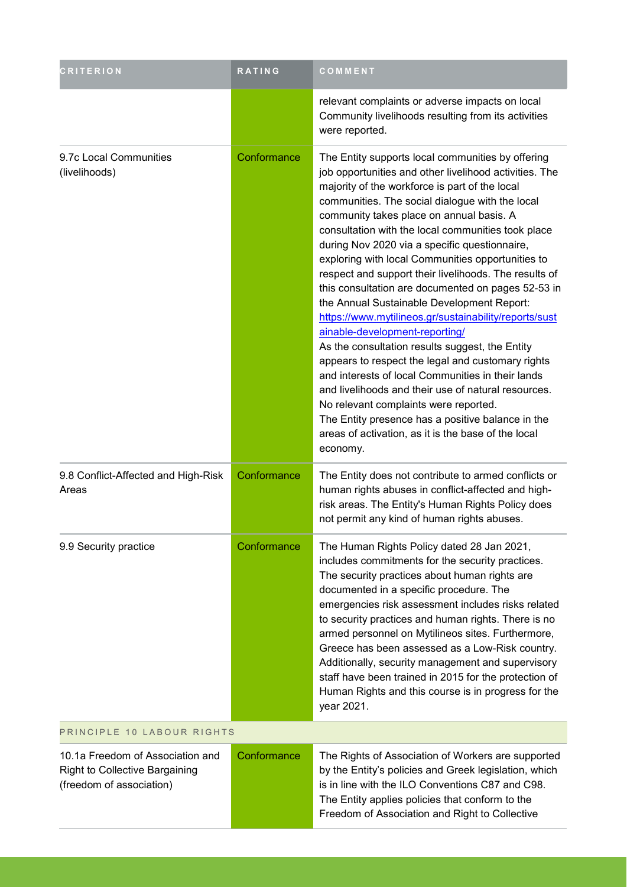| <b>CRITERION</b>                                                                               | RATING      | COMMENT                                                                                                                                                                                                                                                                                                                                                                                                                                                                                                                                                                                                                                                                                                                                                                                                                                                                                                                                                                                                                                                               |  |
|------------------------------------------------------------------------------------------------|-------------|-----------------------------------------------------------------------------------------------------------------------------------------------------------------------------------------------------------------------------------------------------------------------------------------------------------------------------------------------------------------------------------------------------------------------------------------------------------------------------------------------------------------------------------------------------------------------------------------------------------------------------------------------------------------------------------------------------------------------------------------------------------------------------------------------------------------------------------------------------------------------------------------------------------------------------------------------------------------------------------------------------------------------------------------------------------------------|--|
|                                                                                                |             | relevant complaints or adverse impacts on local<br>Community livelihoods resulting from its activities<br>were reported.                                                                                                                                                                                                                                                                                                                                                                                                                                                                                                                                                                                                                                                                                                                                                                                                                                                                                                                                              |  |
| 9.7c Local Communities<br>(livelihoods)                                                        | Conformance | The Entity supports local communities by offering<br>job opportunities and other livelihood activities. The<br>majority of the workforce is part of the local<br>communities. The social dialogue with the local<br>community takes place on annual basis. A<br>consultation with the local communities took place<br>during Nov 2020 via a specific questionnaire,<br>exploring with local Communities opportunities to<br>respect and support their livelihoods. The results of<br>this consultation are documented on pages 52-53 in<br>the Annual Sustainable Development Report:<br>https://www.mytilineos.gr/sustainability/reports/sust<br>ainable-development-reporting/<br>As the consultation results suggest, the Entity<br>appears to respect the legal and customary rights<br>and interests of local Communities in their lands<br>and livelihoods and their use of natural resources.<br>No relevant complaints were reported.<br>The Entity presence has a positive balance in the<br>areas of activation, as it is the base of the local<br>economy. |  |
| 9.8 Conflict-Affected and High-Risk<br>Areas                                                   | Conformance | The Entity does not contribute to armed conflicts or<br>human rights abuses in conflict-affected and high-<br>risk areas. The Entity's Human Rights Policy does<br>not permit any kind of human rights abuses.                                                                                                                                                                                                                                                                                                                                                                                                                                                                                                                                                                                                                                                                                                                                                                                                                                                        |  |
| 9.9 Security practice                                                                          | Conformance | The Human Rights Policy dated 28 Jan 2021,<br>includes commitments for the security practices.<br>The security practices about human rights are<br>documented in a specific procedure. The<br>emergencies risk assessment includes risks related<br>to security practices and human rights. There is no<br>armed personnel on Mytilineos sites. Furthermore,<br>Greece has been assessed as a Low-Risk country.<br>Additionally, security management and supervisory<br>staff have been trained in 2015 for the protection of<br>Human Rights and this course is in progress for the<br>year 2021.                                                                                                                                                                                                                                                                                                                                                                                                                                                                    |  |
| PRINCIPLE 10 LABOUR RIGHTS                                                                     |             |                                                                                                                                                                                                                                                                                                                                                                                                                                                                                                                                                                                                                                                                                                                                                                                                                                                                                                                                                                                                                                                                       |  |
| 10.1a Freedom of Association and<br>Right to Collective Bargaining<br>(freedom of association) | Conformance | The Rights of Association of Workers are supported<br>by the Entity's policies and Greek legislation, which<br>is in line with the ILO Conventions C87 and C98.<br>The Entity applies policies that conform to the<br>Freedom of Association and Right to Collective                                                                                                                                                                                                                                                                                                                                                                                                                                                                                                                                                                                                                                                                                                                                                                                                  |  |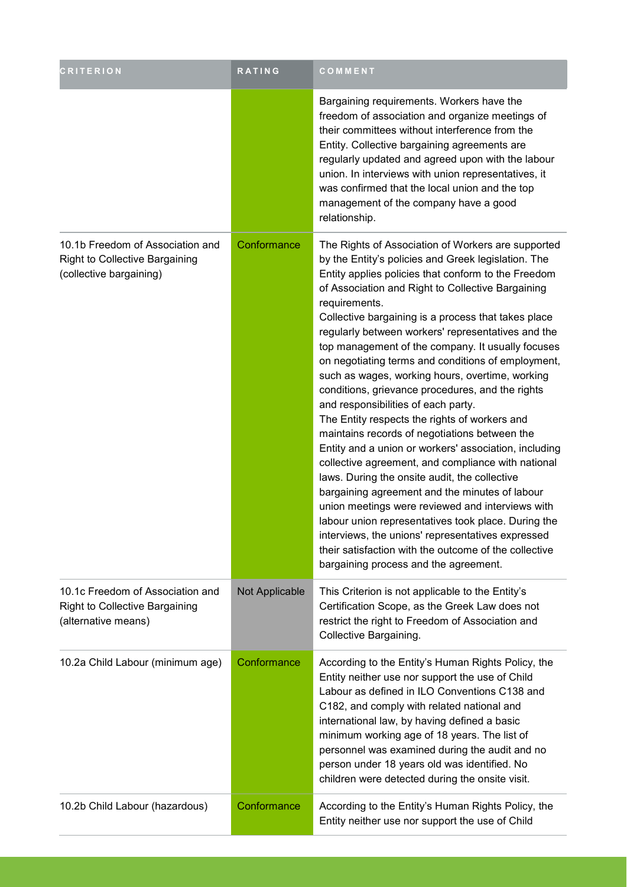| <b>CRITERION</b>                                                                                     | RATING         | COMMENT                                                                                                                                                                                                                                                                                                                                                                                                                                                                                                                                                                                                                                                                                                                                                                                                                                                                                                                                                                                                                                                                                                                                                                                            |
|------------------------------------------------------------------------------------------------------|----------------|----------------------------------------------------------------------------------------------------------------------------------------------------------------------------------------------------------------------------------------------------------------------------------------------------------------------------------------------------------------------------------------------------------------------------------------------------------------------------------------------------------------------------------------------------------------------------------------------------------------------------------------------------------------------------------------------------------------------------------------------------------------------------------------------------------------------------------------------------------------------------------------------------------------------------------------------------------------------------------------------------------------------------------------------------------------------------------------------------------------------------------------------------------------------------------------------------|
|                                                                                                      |                | Bargaining requirements. Workers have the<br>freedom of association and organize meetings of<br>their committees without interference from the<br>Entity. Collective bargaining agreements are<br>regularly updated and agreed upon with the labour<br>union. In interviews with union representatives, it<br>was confirmed that the local union and the top<br>management of the company have a good<br>relationship.                                                                                                                                                                                                                                                                                                                                                                                                                                                                                                                                                                                                                                                                                                                                                                             |
| 10.1b Freedom of Association and<br><b>Right to Collective Bargaining</b><br>(collective bargaining) | Conformance    | The Rights of Association of Workers are supported<br>by the Entity's policies and Greek legislation. The<br>Entity applies policies that conform to the Freedom<br>of Association and Right to Collective Bargaining<br>requirements.<br>Collective bargaining is a process that takes place<br>regularly between workers' representatives and the<br>top management of the company. It usually focuses<br>on negotiating terms and conditions of employment,<br>such as wages, working hours, overtime, working<br>conditions, grievance procedures, and the rights<br>and responsibilities of each party.<br>The Entity respects the rights of workers and<br>maintains records of negotiations between the<br>Entity and a union or workers' association, including<br>collective agreement, and compliance with national<br>laws. During the onsite audit, the collective<br>bargaining agreement and the minutes of labour<br>union meetings were reviewed and interviews with<br>labour union representatives took place. During the<br>interviews, the unions' representatives expressed<br>their satisfaction with the outcome of the collective<br>bargaining process and the agreement. |
| 10.1c Freedom of Association and<br>Right to Collective Bargaining<br>(alternative means)            | Not Applicable | This Criterion is not applicable to the Entity's<br>Certification Scope, as the Greek Law does not<br>restrict the right to Freedom of Association and<br>Collective Bargaining.                                                                                                                                                                                                                                                                                                                                                                                                                                                                                                                                                                                                                                                                                                                                                                                                                                                                                                                                                                                                                   |
| 10.2a Child Labour (minimum age)                                                                     | Conformance    | According to the Entity's Human Rights Policy, the<br>Entity neither use nor support the use of Child<br>Labour as defined in ILO Conventions C138 and<br>C182, and comply with related national and<br>international law, by having defined a basic<br>minimum working age of 18 years. The list of<br>personnel was examined during the audit and no<br>person under 18 years old was identified. No<br>children were detected during the onsite visit.                                                                                                                                                                                                                                                                                                                                                                                                                                                                                                                                                                                                                                                                                                                                          |
| 10.2b Child Labour (hazardous)                                                                       | Conformance    | According to the Entity's Human Rights Policy, the<br>Entity neither use nor support the use of Child                                                                                                                                                                                                                                                                                                                                                                                                                                                                                                                                                                                                                                                                                                                                                                                                                                                                                                                                                                                                                                                                                              |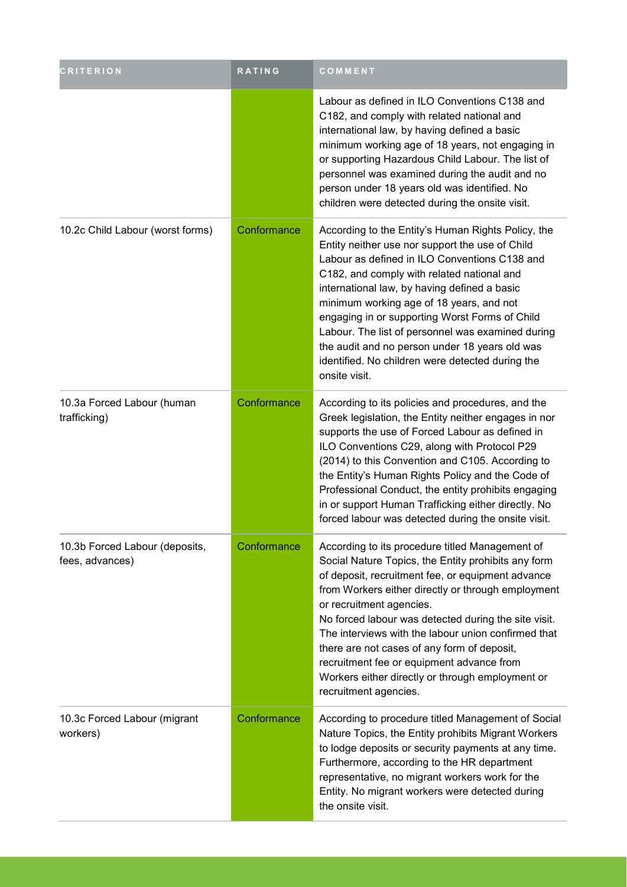| <b>CRITERION</b>                                  | <b>RATING</b> | COMMENT                                                                                                                                                                                                                                                                                                                                                                                                                                                                                                                               |
|---------------------------------------------------|---------------|---------------------------------------------------------------------------------------------------------------------------------------------------------------------------------------------------------------------------------------------------------------------------------------------------------------------------------------------------------------------------------------------------------------------------------------------------------------------------------------------------------------------------------------|
|                                                   |               | Labour as defined in ILO Conventions C138 and<br>C182, and comply with related national and<br>international law, by having defined a basic<br>minimum working age of 18 years, not engaging in<br>or supporting Hazardous Child Labour. The list of<br>personnel was examined during the audit and no<br>person under 18 years old was identified. No<br>children were detected during the onsite visit.                                                                                                                             |
| 10.2c Child Labour (worst forms)                  | Conformance   | According to the Entity's Human Rights Policy, the<br>Entity neither use nor support the use of Child<br>Labour as defined in ILO Conventions C138 and<br>C182, and comply with related national and<br>international law, by having defined a basic<br>minimum working age of 18 years, and not<br>engaging in or supporting Worst Forms of Child<br>Labour. The list of personnel was examined during<br>the audit and no person under 18 years old was<br>identified. No children were detected during the<br>onsite visit.        |
| 10.3a Forced Labour (human<br>trafficking)        | Conformance   | According to its policies and procedures, and the<br>Greek legislation, the Entity neither engages in nor<br>supports the use of Forced Labour as defined in<br>ILO Conventions C29, along with Protocol P29<br>(2014) to this Convention and C105. According to<br>the Entity's Human Rights Policy and the Code of<br>Professional Conduct, the entity prohibits engaging<br>in or support Human Trafficking either directly. No<br>forced labour was detected during the onsite visit.                                             |
| 10.3b Forced Labour (deposits,<br>fees, advances) | Conformance   | According to its procedure titled Management of<br>Social Nature Topics, the Entity prohibits any form<br>of deposit, recruitment fee, or equipment advance<br>from Workers either directly or through employment<br>or recruitment agencies.<br>No forced labour was detected during the site visit.<br>The interviews with the labour union confirmed that<br>there are not cases of any form of deposit,<br>recruitment fee or equipment advance from<br>Workers either directly or through employment or<br>recruitment agencies. |
| 10.3c Forced Labour (migrant<br>workers)          | Conformance   | According to procedure titled Management of Social<br>Nature Topics, the Entity prohibits Migrant Workers<br>to lodge deposits or security payments at any time.<br>Furthermore, according to the HR department<br>representative, no migrant workers work for the<br>Entity. No migrant workers were detected during<br>the onsite visit.                                                                                                                                                                                            |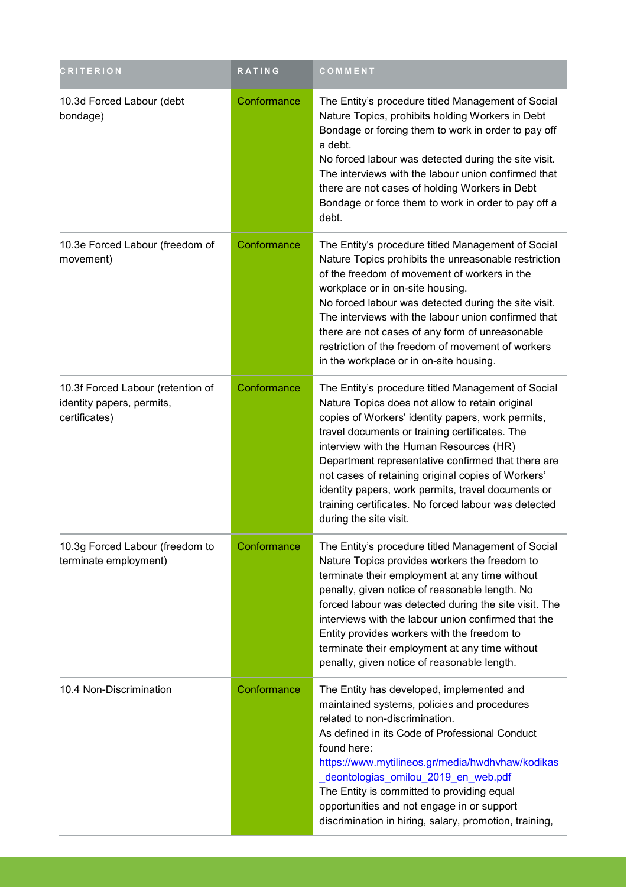| <b>CRITERION</b>                                                                | RATING      | COMMENT                                                                                                                                                                                                                                                                                                                                                                                                                                                                                                     |
|---------------------------------------------------------------------------------|-------------|-------------------------------------------------------------------------------------------------------------------------------------------------------------------------------------------------------------------------------------------------------------------------------------------------------------------------------------------------------------------------------------------------------------------------------------------------------------------------------------------------------------|
| 10.3d Forced Labour (debt<br>bondage)                                           | Conformance | The Entity's procedure titled Management of Social<br>Nature Topics, prohibits holding Workers in Debt<br>Bondage or forcing them to work in order to pay off<br>a debt.<br>No forced labour was detected during the site visit.<br>The interviews with the labour union confirmed that<br>there are not cases of holding Workers in Debt<br>Bondage or force them to work in order to pay off a<br>debt.                                                                                                   |
| 10.3e Forced Labour (freedom of<br>movement)                                    | Conformance | The Entity's procedure titled Management of Social<br>Nature Topics prohibits the unreasonable restriction<br>of the freedom of movement of workers in the<br>workplace or in on-site housing.<br>No forced labour was detected during the site visit.<br>The interviews with the labour union confirmed that<br>there are not cases of any form of unreasonable<br>restriction of the freedom of movement of workers<br>in the workplace or in on-site housing.                                            |
| 10.3f Forced Labour (retention of<br>identity papers, permits,<br>certificates) | Conformance | The Entity's procedure titled Management of Social<br>Nature Topics does not allow to retain original<br>copies of Workers' identity papers, work permits,<br>travel documents or training certificates. The<br>interview with the Human Resources (HR)<br>Department representative confirmed that there are<br>not cases of retaining original copies of Workers'<br>identity papers, work permits, travel documents or<br>training certificates. No forced labour was detected<br>during the site visit. |
| 10.3g Forced Labour (freedom to<br>terminate employment)                        | Conformance | The Entity's procedure titled Management of Social<br>Nature Topics provides workers the freedom to<br>terminate their employment at any time without<br>penalty, given notice of reasonable length. No<br>forced labour was detected during the site visit. The<br>interviews with the labour union confirmed that the<br>Entity provides workers with the freedom to<br>terminate their employment at any time without<br>penalty, given notice of reasonable length.                                     |
| 10.4 Non-Discrimination                                                         | Conformance | The Entity has developed, implemented and<br>maintained systems, policies and procedures<br>related to non-discrimination.<br>As defined in its Code of Professional Conduct<br>found here:<br>https://www.mytilineos.gr/media/hwdhvhaw/kodikas<br>deontologias omilou 2019 en web.pdf<br>The Entity is committed to providing equal<br>opportunities and not engage in or support<br>discrimination in hiring, salary, promotion, training,                                                                |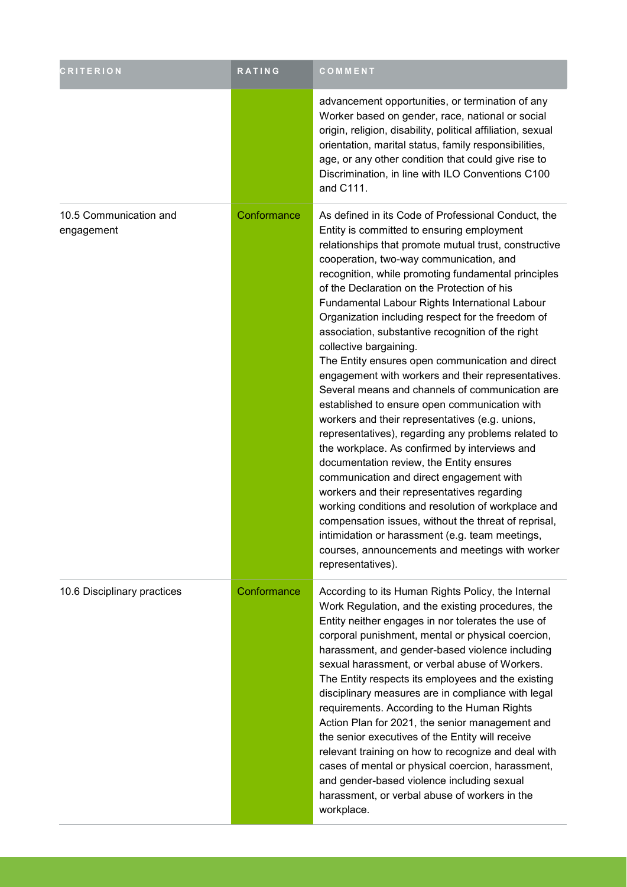| <b>CRITERION</b>                     | RATING      | COMMENT                                                                                                                                                                                                                                                                                                                                                                                                                                                                                                                                                                                                                                                                                                                                                                                                                                                                                                                                                                                                                                                                                                                                                                                                                                                    |
|--------------------------------------|-------------|------------------------------------------------------------------------------------------------------------------------------------------------------------------------------------------------------------------------------------------------------------------------------------------------------------------------------------------------------------------------------------------------------------------------------------------------------------------------------------------------------------------------------------------------------------------------------------------------------------------------------------------------------------------------------------------------------------------------------------------------------------------------------------------------------------------------------------------------------------------------------------------------------------------------------------------------------------------------------------------------------------------------------------------------------------------------------------------------------------------------------------------------------------------------------------------------------------------------------------------------------------|
|                                      |             | advancement opportunities, or termination of any<br>Worker based on gender, race, national or social<br>origin, religion, disability, political affiliation, sexual<br>orientation, marital status, family responsibilities,<br>age, or any other condition that could give rise to<br>Discrimination, in line with ILO Conventions C100<br>and C111.                                                                                                                                                                                                                                                                                                                                                                                                                                                                                                                                                                                                                                                                                                                                                                                                                                                                                                      |
| 10.5 Communication and<br>engagement | Conformance | As defined in its Code of Professional Conduct, the<br>Entity is committed to ensuring employment<br>relationships that promote mutual trust, constructive<br>cooperation, two-way communication, and<br>recognition, while promoting fundamental principles<br>of the Declaration on the Protection of his<br>Fundamental Labour Rights International Labour<br>Organization including respect for the freedom of<br>association, substantive recognition of the right<br>collective bargaining.<br>The Entity ensures open communication and direct<br>engagement with workers and their representatives.<br>Several means and channels of communication are<br>established to ensure open communication with<br>workers and their representatives (e.g. unions,<br>representatives), regarding any problems related to<br>the workplace. As confirmed by interviews and<br>documentation review, the Entity ensures<br>communication and direct engagement with<br>workers and their representatives regarding<br>working conditions and resolution of workplace and<br>compensation issues, without the threat of reprisal,<br>intimidation or harassment (e.g. team meetings,<br>courses, announcements and meetings with worker<br>representatives). |
| 10.6 Disciplinary practices          | Conformance | According to its Human Rights Policy, the Internal<br>Work Regulation, and the existing procedures, the<br>Entity neither engages in nor tolerates the use of<br>corporal punishment, mental or physical coercion,<br>harassment, and gender-based violence including<br>sexual harassment, or verbal abuse of Workers.<br>The Entity respects its employees and the existing<br>disciplinary measures are in compliance with legal<br>requirements. According to the Human Rights<br>Action Plan for 2021, the senior management and<br>the senior executives of the Entity will receive<br>relevant training on how to recognize and deal with<br>cases of mental or physical coercion, harassment,<br>and gender-based violence including sexual<br>harassment, or verbal abuse of workers in the<br>workplace.                                                                                                                                                                                                                                                                                                                                                                                                                                         |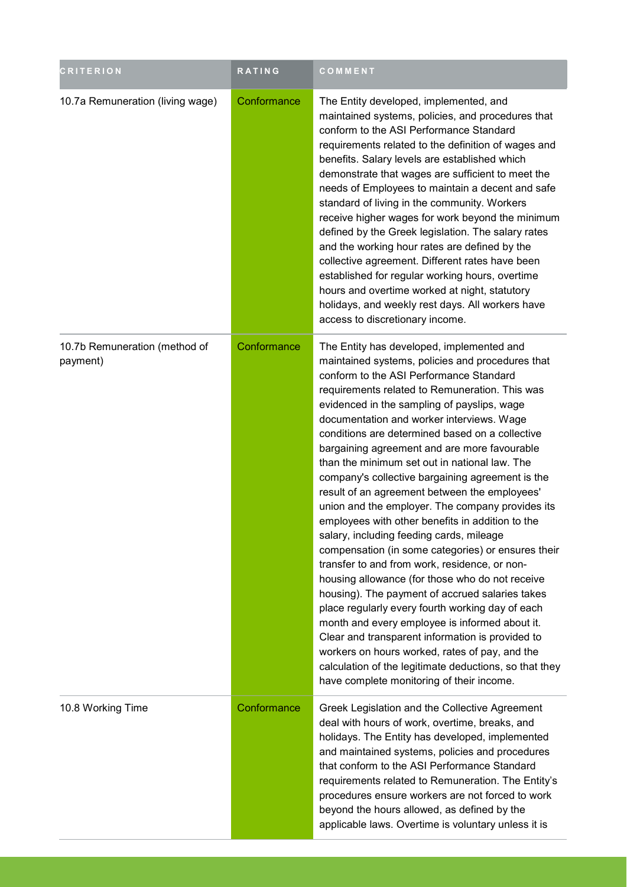| <b>CRITERION</b>                          | <b>RATING</b> | COMMENT                                                                                                                                                                                                                                                                                                                                                                                                                                                                                                                                                                                                                                                                                                                                                                                                                                                                                                                                                                                                                                                                                                                                                                                                                             |
|-------------------------------------------|---------------|-------------------------------------------------------------------------------------------------------------------------------------------------------------------------------------------------------------------------------------------------------------------------------------------------------------------------------------------------------------------------------------------------------------------------------------------------------------------------------------------------------------------------------------------------------------------------------------------------------------------------------------------------------------------------------------------------------------------------------------------------------------------------------------------------------------------------------------------------------------------------------------------------------------------------------------------------------------------------------------------------------------------------------------------------------------------------------------------------------------------------------------------------------------------------------------------------------------------------------------|
| 10.7a Remuneration (living wage)          | Conformance   | The Entity developed, implemented, and<br>maintained systems, policies, and procedures that<br>conform to the ASI Performance Standard<br>requirements related to the definition of wages and<br>benefits. Salary levels are established which<br>demonstrate that wages are sufficient to meet the<br>needs of Employees to maintain a decent and safe<br>standard of living in the community. Workers<br>receive higher wages for work beyond the minimum<br>defined by the Greek legislation. The salary rates<br>and the working hour rates are defined by the<br>collective agreement. Different rates have been<br>established for regular working hours, overtime<br>hours and overtime worked at night, statutory<br>holidays, and weekly rest days. All workers have<br>access to discretionary income.                                                                                                                                                                                                                                                                                                                                                                                                                    |
| 10.7b Remuneration (method of<br>payment) | Conformance   | The Entity has developed, implemented and<br>maintained systems, policies and procedures that<br>conform to the ASI Performance Standard<br>requirements related to Remuneration. This was<br>evidenced in the sampling of payslips, wage<br>documentation and worker interviews. Wage<br>conditions are determined based on a collective<br>bargaining agreement and are more favourable<br>than the minimum set out in national law. The<br>company's collective bargaining agreement is the<br>result of an agreement between the employees'<br>union and the employer. The company provides its<br>employees with other benefits in addition to the<br>salary, including feeding cards, mileage<br>compensation (in some categories) or ensures their<br>transfer to and from work, residence, or non-<br>housing allowance (for those who do not receive<br>housing). The payment of accrued salaries takes<br>place regularly every fourth working day of each<br>month and every employee is informed about it.<br>Clear and transparent information is provided to<br>workers on hours worked, rates of pay, and the<br>calculation of the legitimate deductions, so that they<br>have complete monitoring of their income. |
| 10.8 Working Time                         | Conformance   | Greek Legislation and the Collective Agreement<br>deal with hours of work, overtime, breaks, and<br>holidays. The Entity has developed, implemented<br>and maintained systems, policies and procedures<br>that conform to the ASI Performance Standard<br>requirements related to Remuneration. The Entity's<br>procedures ensure workers are not forced to work<br>beyond the hours allowed, as defined by the<br>applicable laws. Overtime is voluntary unless it is                                                                                                                                                                                                                                                                                                                                                                                                                                                                                                                                                                                                                                                                                                                                                              |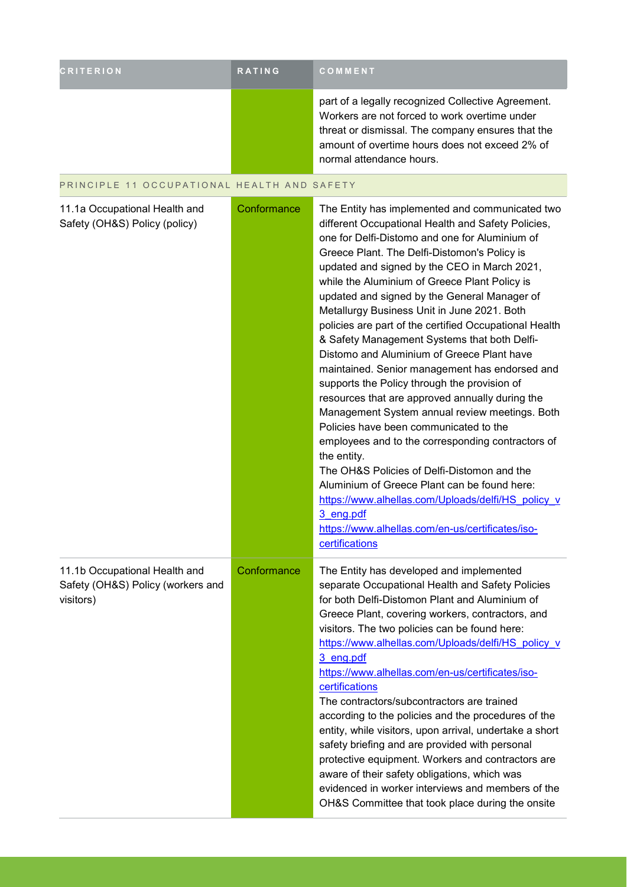| <b>CRITERION</b>                            | <b>RATING</b> | COMMENT                                                                                                                                                                                                                                |
|---------------------------------------------|---------------|----------------------------------------------------------------------------------------------------------------------------------------------------------------------------------------------------------------------------------------|
|                                             |               | part of a legally recognized Collective Agreement.<br>Workers are not forced to work overtime under<br>threat or dismissal. The company ensures that the<br>amount of overtime hours does not exceed 2% of<br>normal attendance hours. |
| PRINCIPLE 11 OCCUPATIONAL HEALTH AND SAFETY |               |                                                                                                                                                                                                                                        |

| 11.1a Occupational Health and<br>Safety (OH&S) Policy (policy)                  | Conformance | The Entity has implemented and communicated two<br>different Occupational Health and Safety Policies,<br>one for Delfi-Distomo and one for Aluminium of<br>Greece Plant. The Delfi-Distomon's Policy is<br>updated and signed by the CEO in March 2021,<br>while the Aluminium of Greece Plant Policy is<br>updated and signed by the General Manager of<br>Metallurgy Business Unit in June 2021. Both<br>policies are part of the certified Occupational Health<br>& Safety Management Systems that both Delfi-<br>Distomo and Aluminium of Greece Plant have<br>maintained. Senior management has endorsed and<br>supports the Policy through the provision of<br>resources that are approved annually during the<br>Management System annual review meetings. Both<br>Policies have been communicated to the<br>employees and to the corresponding contractors of<br>the entity.<br>The OH&S Policies of Delfi-Distomon and the<br>Aluminium of Greece Plant can be found here:<br>https://www.alhellas.com/Uploads/delfi/HS_policy_v<br>3 eng.pdf<br>https://www.alhellas.com/en-us/certificates/iso-<br>certifications |
|---------------------------------------------------------------------------------|-------------|------------------------------------------------------------------------------------------------------------------------------------------------------------------------------------------------------------------------------------------------------------------------------------------------------------------------------------------------------------------------------------------------------------------------------------------------------------------------------------------------------------------------------------------------------------------------------------------------------------------------------------------------------------------------------------------------------------------------------------------------------------------------------------------------------------------------------------------------------------------------------------------------------------------------------------------------------------------------------------------------------------------------------------------------------------------------------------------------------------------------------|
| 11.1b Occupational Health and<br>Safety (OH&S) Policy (workers and<br>visitors) | Conformance | The Entity has developed and implemented<br>separate Occupational Health and Safety Policies<br>for both Delfi-Distomon Plant and Aluminium of<br>Greece Plant, covering workers, contractors, and<br>visitors. The two policies can be found here:<br>https://www.alhellas.com/Uploads/delfi/HS policy v<br>3 eng.pdf<br>https://www.alhellas.com/en-us/certificates/iso-<br>certifications<br>The contractors/subcontractors are trained<br>according to the policies and the procedures of the<br>entity, while visitors, upon arrival, undertake a short<br>safety briefing and are provided with personal<br>protective equipment. Workers and contractors are<br>aware of their safety obligations, which was<br>evidenced in worker interviews and members of the<br>OH&S Committee that took place during the onsite                                                                                                                                                                                                                                                                                                 |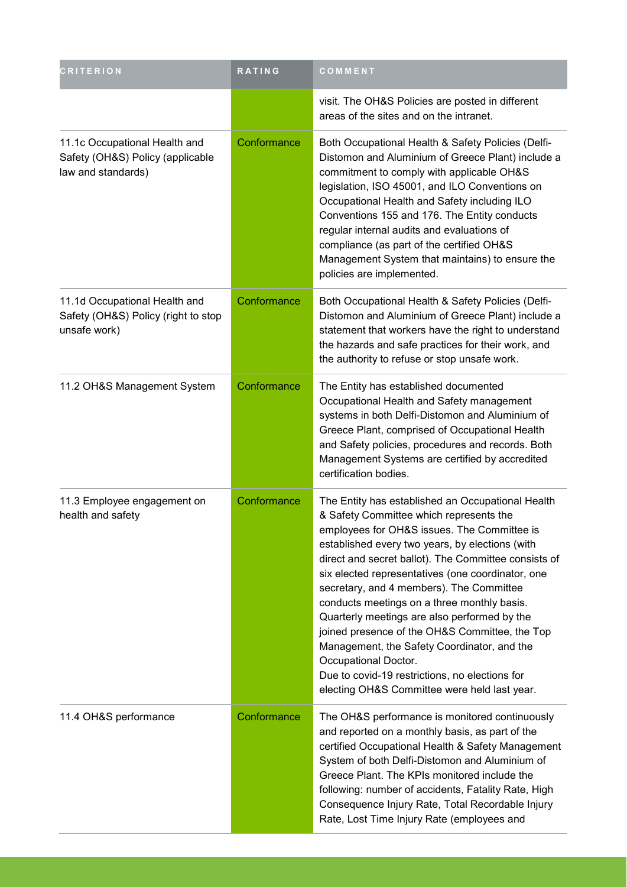| <b>CRITERION</b>                                                                        | <b>RATING</b> | COMMENT                                                                                                                                                                                                                                                                                                                                                                                                                                                                                                                                                                                                                                                                           |
|-----------------------------------------------------------------------------------------|---------------|-----------------------------------------------------------------------------------------------------------------------------------------------------------------------------------------------------------------------------------------------------------------------------------------------------------------------------------------------------------------------------------------------------------------------------------------------------------------------------------------------------------------------------------------------------------------------------------------------------------------------------------------------------------------------------------|
|                                                                                         |               | visit. The OH&S Policies are posted in different<br>areas of the sites and on the intranet.                                                                                                                                                                                                                                                                                                                                                                                                                                                                                                                                                                                       |
| 11.1c Occupational Health and<br>Safety (OH&S) Policy (applicable<br>law and standards) | Conformance   | Both Occupational Health & Safety Policies (Delfi-<br>Distomon and Aluminium of Greece Plant) include a<br>commitment to comply with applicable OH&S<br>legislation, ISO 45001, and ILO Conventions on<br>Occupational Health and Safety including ILO<br>Conventions 155 and 176. The Entity conducts<br>regular internal audits and evaluations of<br>compliance (as part of the certified OH&S<br>Management System that maintains) to ensure the<br>policies are implemented.                                                                                                                                                                                                 |
| 11.1d Occupational Health and<br>Safety (OH&S) Policy (right to stop<br>unsafe work)    | Conformance   | Both Occupational Health & Safety Policies (Delfi-<br>Distomon and Aluminium of Greece Plant) include a<br>statement that workers have the right to understand<br>the hazards and safe practices for their work, and<br>the authority to refuse or stop unsafe work.                                                                                                                                                                                                                                                                                                                                                                                                              |
| 11.2 OH&S Management System                                                             | Conformance   | The Entity has established documented<br>Occupational Health and Safety management<br>systems in both Delfi-Distomon and Aluminium of<br>Greece Plant, comprised of Occupational Health<br>and Safety policies, procedures and records. Both<br>Management Systems are certified by accredited<br>certification bodies.                                                                                                                                                                                                                                                                                                                                                           |
| 11.3 Employee engagement on<br>health and safety                                        | Conformance   | The Entity has established an Occupational Health<br>& Safety Committee which represents the<br>employees for OH&S issues. The Committee is<br>established every two years, by elections (with<br>direct and secret ballot). The Committee consists of<br>six elected representatives (one coordinator, one<br>secretary, and 4 members). The Committee<br>conducts meetings on a three monthly basis.<br>Quarterly meetings are also performed by the<br>joined presence of the OH&S Committee, the Top<br>Management, the Safety Coordinator, and the<br>Occupational Doctor.<br>Due to covid-19 restrictions, no elections for<br>electing OH&S Committee were held last year. |
| 11.4 OH&S performance                                                                   | Conformance   | The OH&S performance is monitored continuously<br>and reported on a monthly basis, as part of the<br>certified Occupational Health & Safety Management<br>System of both Delfi-Distomon and Aluminium of<br>Greece Plant. The KPIs monitored include the<br>following: number of accidents, Fatality Rate, High<br>Consequence Injury Rate, Total Recordable Injury<br>Rate, Lost Time Injury Rate (employees and                                                                                                                                                                                                                                                                 |